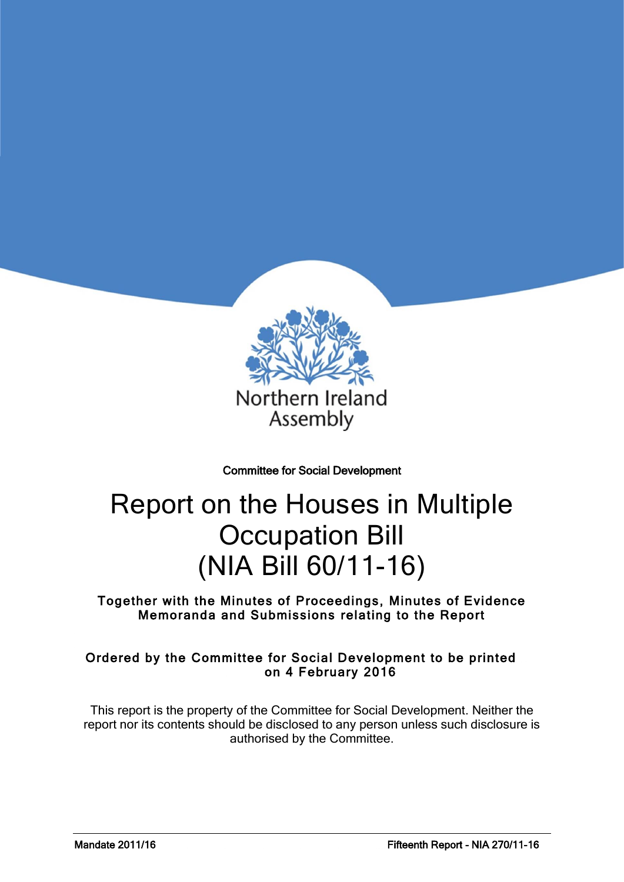

Committee for Social Development

# Report on the Houses in Multiple Occupation Bill (NIA Bill 60/11-16)

Together with the Minutes of Proceedings, Minutes of Evidence Memoranda and Submissions relating to the Report

### Ordered by the Committee for Social Development to be printed on 4 February 2016

This report is the property of the Committee for Social Development. Neither the report nor its contents should be disclosed to any person unless such disclosure is authorised by the Committee.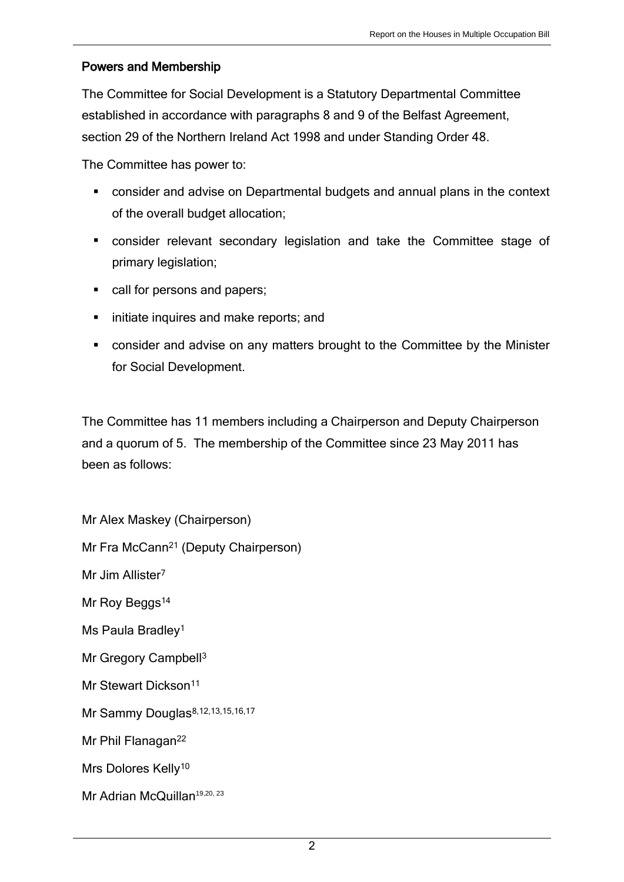### Powers and Membership

The Committee for Social Development is a Statutory Departmental Committee established in accordance with paragraphs 8 and 9 of the Belfast Agreement, section 29 of the Northern Ireland Act 1998 and under Standing Order 48.

The Committee has power to:

- consider and advise on Departmental budgets and annual plans in the context of the overall budget allocation;
- consider relevant secondary legislation and take the Committee stage of primary legislation;
- call for persons and papers;
- **I** initiate inquires and make reports; and
- consider and advise on any matters brought to the Committee by the Minister for Social Development.

The Committee has 11 members including a Chairperson and Deputy Chairperson and a quorum of 5. The membership of the Committee since 23 May 2011 has been as follows:

Mr Alex Maskey (Chairperson) Mr Fra McCann<sup>21</sup> (Deputy Chairperson) Mr Jim Allister<sup>7</sup> Mr Roy Beggs<sup>14</sup> Ms Paula Bradley<sup>1</sup> Mr Gregory Campbell<sup>3</sup> Mr Stewart Dickson<sup>11</sup> Mr Sammy Douglas<sup>8,12,13,15,16,17</sup> Mr Phil Flanagan<sup>22</sup> Mrs Dolores Kelly<sup>10</sup> Mr Adrian McQuillan<sup>19,20, 23</sup>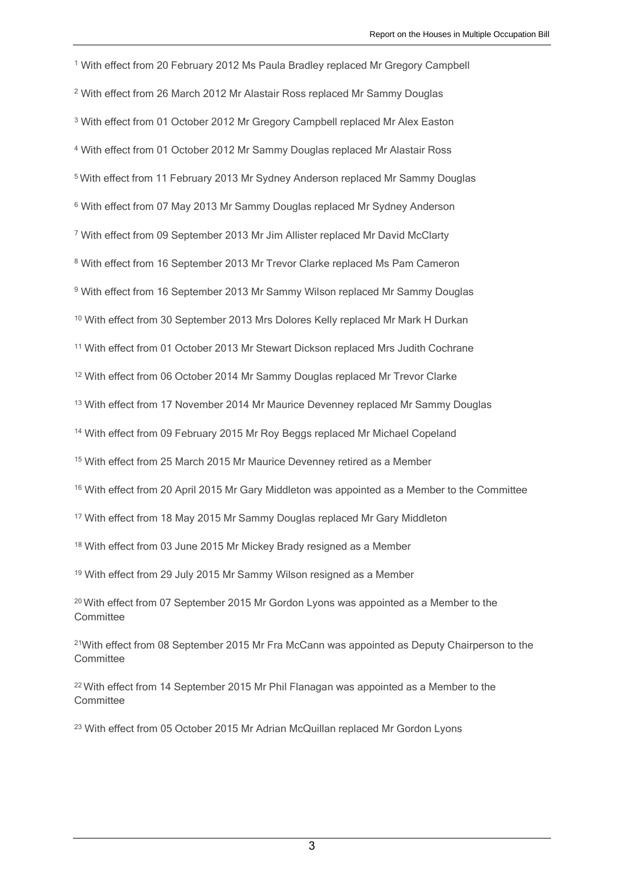With effect from 20 February 2012 Ms Paula Bradley replaced Mr Gregory Campbell With effect from 26 March 2012 Mr Alastair Ross replaced Mr Sammy Douglas With effect from 01 October 2012 Mr Gregory Campbell replaced Mr Alex Easton With effect from 01 October 2012 Mr Sammy Douglas replaced Mr Alastair Ross With effect from 11 February 2013 Mr Sydney Anderson replaced Mr Sammy Douglas With effect from 07 May 2013 Mr Sammy Douglas replaced Mr Sydney Anderson With effect from 09 September 2013 Mr Jim Allister replaced Mr David McClarty With effect from 16 September 2013 Mr Trevor Clarke replaced Ms Pam Cameron With effect from 16 September 2013 Mr Sammy Wilson replaced Mr Sammy Douglas <sup>10</sup> With effect from 30 September 2013 Mrs Dolores Kelly replaced Mr Mark H Durkan With effect from 01 October 2013 Mr Stewart Dickson replaced Mrs Judith Cochrane With effect from 06 October 2014 Mr Sammy Douglas replaced Mr Trevor Clarke <sup>13</sup> With effect from 17 November 2014 Mr Maurice Devenney replaced Mr Sammy Douglas With effect from 09 February 2015 Mr Roy Beggs replaced Mr Michael Copeland <sup>15</sup> With effect from 25 March 2015 Mr Maurice Devenney retired as a Member <sup>16</sup> With effect from 20 April 2015 Mr Gary Middleton was appointed as a Member to the Committee <sup>17</sup> With effect from 18 May 2015 Mr Sammy Douglas replaced Mr Gary Middleton <sup>18</sup> With effect from 03 June 2015 Mr Mickey Brady resigned as a Member <sup>19</sup> With effect from 29 July 2015 Mr Sammy Wilson resigned as a Member With effect from 07 September 2015 Mr Gordon Lyons was appointed as a Member to the **Committee** 

<sup>21</sup>With effect from 08 September 2015 Mr Fra McCann was appointed as Deputy Chairperson to the **Committee** 

<sup>22</sup> With effect from 14 September 2015 Mr Phil Flanagan was appointed as a Member to the **Committee** 

<sup>23</sup> With effect from 05 October 2015 Mr Adrian McQuillan replaced Mr Gordon Lyons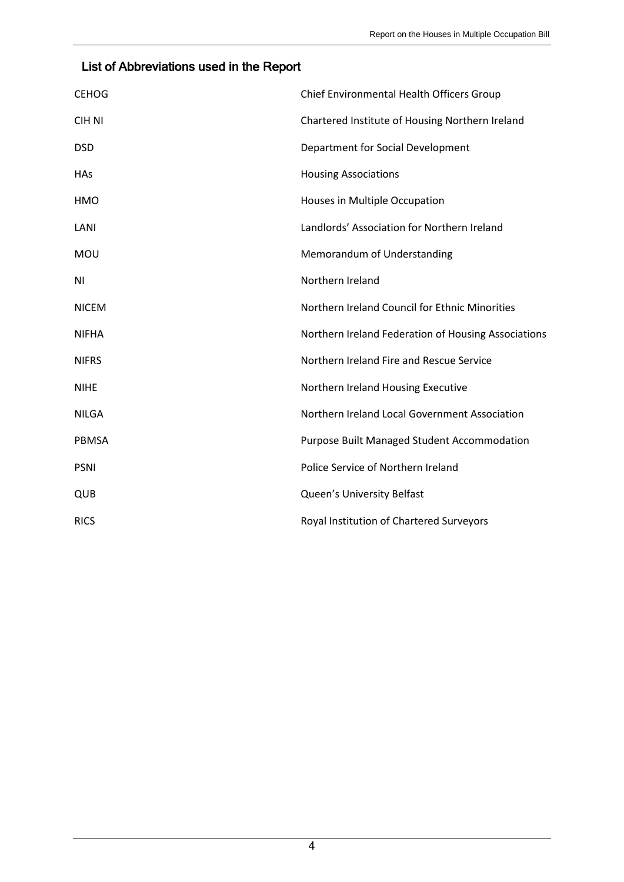## List of Abbreviations used in the Report

| <b>CEHOG</b>  | Chief Environmental Health Officers Group           |
|---------------|-----------------------------------------------------|
| <b>CIH NI</b> | Chartered Institute of Housing Northern Ireland     |
| <b>DSD</b>    | Department for Social Development                   |
| <b>HAs</b>    | <b>Housing Associations</b>                         |
| <b>HMO</b>    | Houses in Multiple Occupation                       |
| LANI          | Landlords' Association for Northern Ireland         |
| MOU           | Memorandum of Understanding                         |
| ΝI            | Northern Ireland                                    |
| <b>NICEM</b>  | Northern Ireland Council for Ethnic Minorities      |
| <b>NIFHA</b>  | Northern Ireland Federation of Housing Associations |
| <b>NIFRS</b>  | Northern Ireland Fire and Rescue Service            |
| <b>NIHE</b>   | Northern Ireland Housing Executive                  |
| <b>NILGA</b>  | Northern Ireland Local Government Association       |
| <b>PBMSA</b>  | <b>Purpose Built Managed Student Accommodation</b>  |
| <b>PSNI</b>   | Police Service of Northern Ireland                  |
| QUB           | Queen's University Belfast                          |
| <b>RICS</b>   | Royal Institution of Chartered Surveyors            |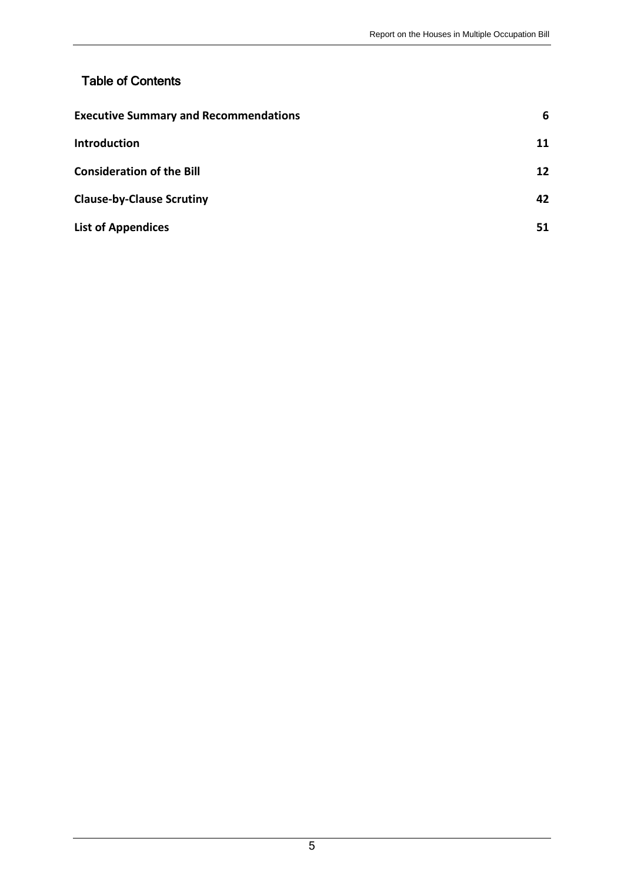## Table of Contents

| <b>Executive Summary and Recommendations</b> |    |
|----------------------------------------------|----|
| <b>Introduction</b>                          | 11 |
| <b>Consideration of the Bill</b>             | 12 |
| <b>Clause-by-Clause Scrutiny</b>             | 42 |
| <b>List of Appendices</b>                    | 51 |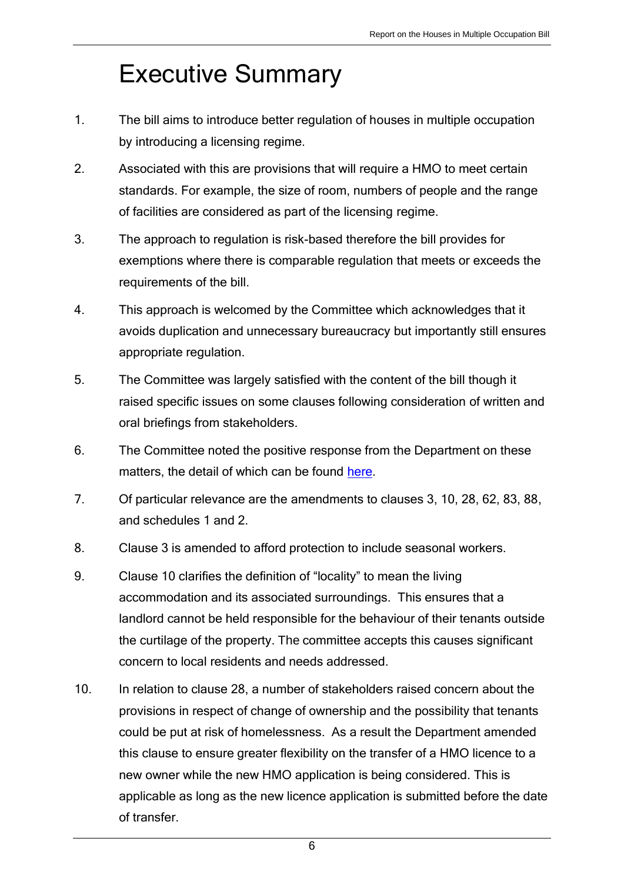# <span id="page-5-0"></span>Executive Summary

- 1. The bill aims to introduce better regulation of houses in multiple occupation by introducing a licensing regime.
- 2. Associated with this are provisions that will require a HMO to meet certain standards. For example, the size of room, numbers of people and the range of facilities are considered as part of the licensing regime.
- 3. The approach to regulation is risk-based therefore the bill provides for exemptions where there is comparable regulation that meets or exceeds the requirements of the bill.
- 4. This approach is welcomed by the Committee which acknowledges that it avoids duplication and unnecessary bureaucracy but importantly still ensures appropriate regulation.
- 5. The Committee was largely satisfied with the content of the bill though it raised specific issues on some clauses following consideration of written and oral briefings from stakeholders.
- 6. The Committee noted the positive response from the Department on these matters, the detail of which can be found [here.](http://www.niassembly.gov.uk/globalassets/documents/social-dev/hmo-bill/dsd-papers-and-memoranda/160126-updated-table-of-amendments-including-consequentials.pdf)
- 7. Of particular relevance are the amendments to clauses 3, 10, 28, 62, 83, 88, and schedules 1 and 2.
- 8. Clause 3 is amended to afford protection to include seasonal workers.
- 9. Clause 10 clarifies the definition of "locality" to mean the living accommodation and its associated surroundings. This ensures that a landlord cannot be held responsible for the behaviour of their tenants outside the curtilage of the property. The committee accepts this causes significant concern to local residents and needs addressed.
- 10. In relation to clause 28, a number of stakeholders raised concern about the provisions in respect of change of ownership and the possibility that tenants could be put at risk of homelessness. As a result the Department amended this clause to ensure greater flexibility on the transfer of a HMO licence to a new owner while the new HMO application is being considered. This is applicable as long as the new licence application is submitted before the date of transfer.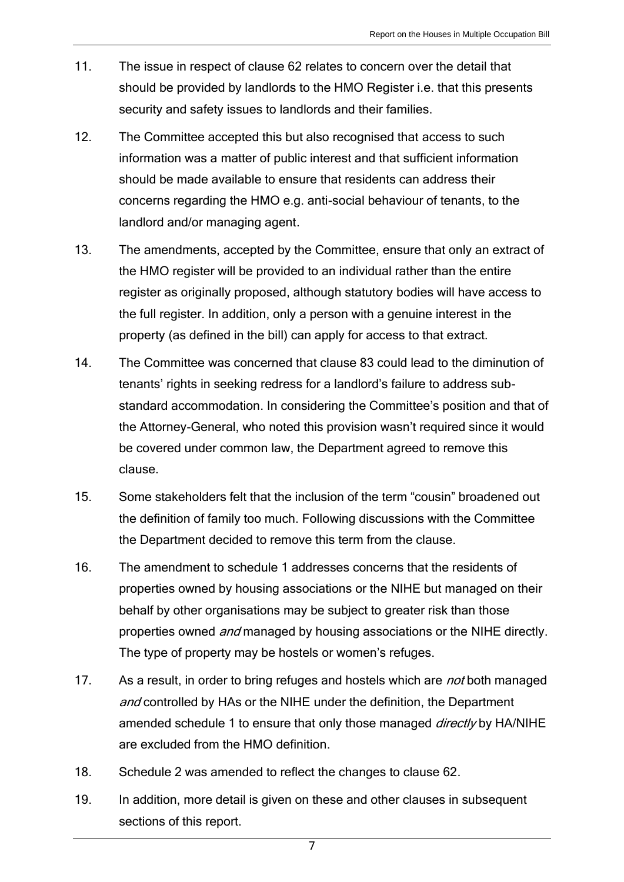- 11. The issue in respect of clause 62 relates to concern over the detail that should be provided by landlords to the HMO Register i.e. that this presents security and safety issues to landlords and their families.
- 12. The Committee accepted this but also recognised that access to such information was a matter of public interest and that sufficient information should be made available to ensure that residents can address their concerns regarding the HMO e.g. anti-social behaviour of tenants, to the landlord and/or managing agent.
- 13. The amendments, accepted by the Committee, ensure that only an extract of the HMO register will be provided to an individual rather than the entire register as originally proposed, although statutory bodies will have access to the full register. In addition, only a person with a genuine interest in the property (as defined in the bill) can apply for access to that extract.
- 14. The Committee was concerned that clause 83 could lead to the diminution of tenants' rights in seeking redress for a landlord's failure to address substandard accommodation. In considering the Committee's position and that of the Attorney-General, who noted this provision wasn't required since it would be covered under common law, the Department agreed to remove this clause.
- 15. Some stakeholders felt that the inclusion of the term "cousin" broadened out the definition of family too much. Following discussions with the Committee the Department decided to remove this term from the clause.
- 16. The amendment to schedule 1 addresses concerns that the residents of properties owned by housing associations or the NIHE but managed on their behalf by other organisations may be subject to greater risk than those properties owned *and* managed by housing associations or the NIHE directly. The type of property may be hostels or women's refuges.
- 17. As a result, in order to bring refuges and hostels which are *not* both managed and controlled by HAs or the NIHE under the definition, the Department amended schedule 1 to ensure that only those managed *directly* by HA/NIHE are excluded from the HMO definition.
- 18. Schedule 2 was amended to reflect the changes to clause 62.
- 19. In addition, more detail is given on these and other clauses in subsequent sections of this report.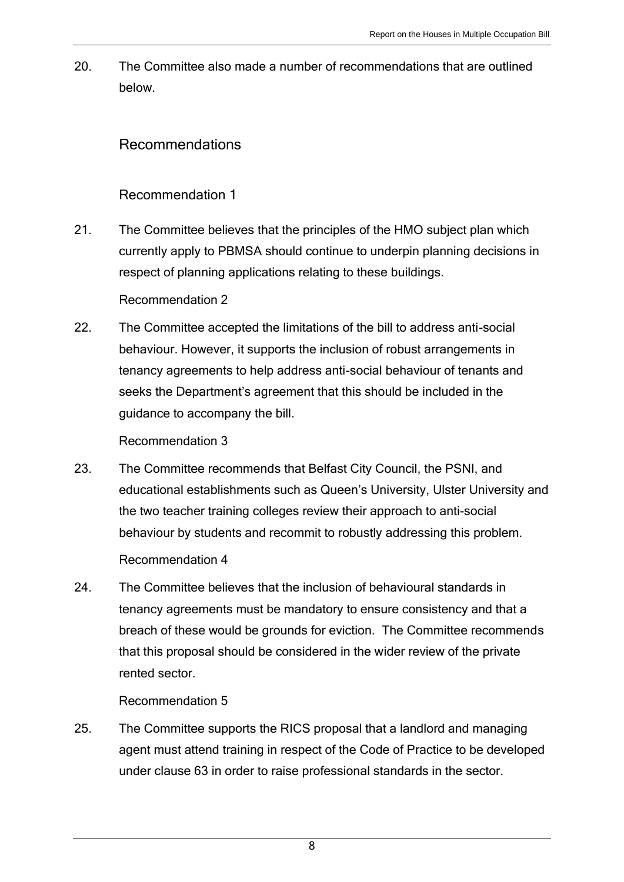20. The Committee also made a number of recommendations that are outlined below.

## Recommendations

### Recommendation 1

21. The Committee believes that the principles of the HMO subject plan which currently apply to PBMSA should continue to underpin planning decisions in respect of planning applications relating to these buildings.

Recommendation 2

22. The Committee accepted the limitations of the bill to address anti-social behaviour. However, it supports the inclusion of robust arrangements in tenancy agreements to help address anti-social behaviour of tenants and seeks the Department's agreement that this should be included in the guidance to accompany the bill.

Recommendation 3

- 23. The Committee recommends that Belfast City Council, the PSNI, and educational establishments such as Queen's University, Ulster University and the two teacher training colleges review their approach to anti-social behaviour by students and recommit to robustly addressing this problem. Recommendation 4
- 24. The Committee believes that the inclusion of behavioural standards in tenancy agreements must be mandatory to ensure consistency and that a breach of these would be grounds for eviction. The Committee recommends that this proposal should be considered in the wider review of the private rented sector.

Recommendation 5

25. The Committee supports the RICS proposal that a landlord and managing agent must attend training in respect of the Code of Practice to be developed under clause 63 in order to raise professional standards in the sector.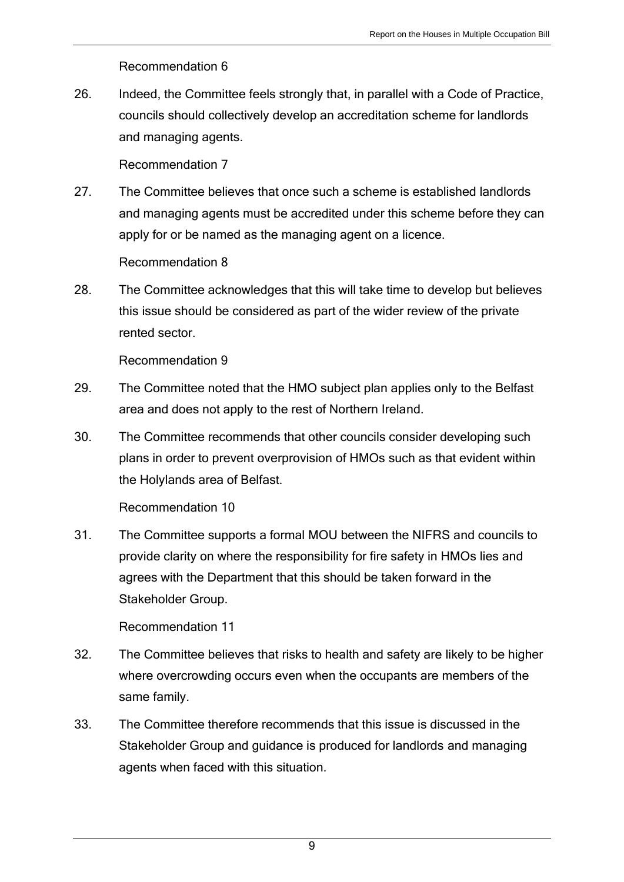Recommendation 6

26. Indeed, the Committee feels strongly that, in parallel with a Code of Practice, councils should collectively develop an accreditation scheme for landlords and managing agents.

Recommendation 7

27. The Committee believes that once such a scheme is established landlords and managing agents must be accredited under this scheme before they can apply for or be named as the managing agent on a licence.

Recommendation 8

28. The Committee acknowledges that this will take time to develop but believes this issue should be considered as part of the wider review of the private rented sector.

Recommendation 9

- 29. The Committee noted that the HMO subject plan applies only to the Belfast area and does not apply to the rest of Northern Ireland.
- 30. The Committee recommends that other councils consider developing such plans in order to prevent overprovision of HMOs such as that evident within the Holylands area of Belfast.

Recommendation 10

31. The Committee supports a formal MOU between the NIFRS and councils to provide clarity on where the responsibility for fire safety in HMOs lies and agrees with the Department that this should be taken forward in the Stakeholder Group.

Recommendation 11

- 32. The Committee believes that risks to health and safety are likely to be higher where overcrowding occurs even when the occupants are members of the same family.
- 33. The Committee therefore recommends that this issue is discussed in the Stakeholder Group and guidance is produced for landlords and managing agents when faced with this situation.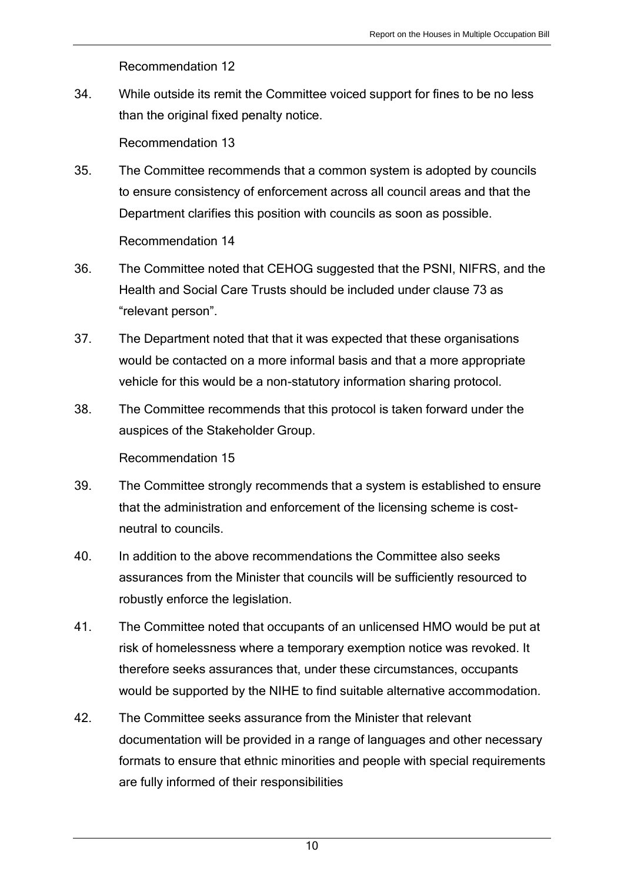Recommendation 12

34. While outside its remit the Committee voiced support for fines to be no less than the original fixed penalty notice.

Recommendation 13

- 35. The Committee recommends that a common system is adopted by councils to ensure consistency of enforcement across all council areas and that the Department clarifies this position with councils as soon as possible. Recommendation 14
- 36. The Committee noted that CEHOG suggested that the PSNI, NIFRS, and the Health and Social Care Trusts should be included under clause 73 as "relevant person".
- 37. The Department noted that that it was expected that these organisations would be contacted on a more informal basis and that a more appropriate vehicle for this would be a non-statutory information sharing protocol.
- 38. The Committee recommends that this protocol is taken forward under the auspices of the Stakeholder Group.

Recommendation 15

- 39. The Committee strongly recommends that a system is established to ensure that the administration and enforcement of the licensing scheme is costneutral to councils.
- 40. In addition to the above recommendations the Committee also seeks assurances from the Minister that councils will be sufficiently resourced to robustly enforce the legislation.
- 41. The Committee noted that occupants of an unlicensed HMO would be put at risk of homelessness where a temporary exemption notice was revoked. It therefore seeks assurances that, under these circumstances, occupants would be supported by the NIHE to find suitable alternative accommodation.
- 42. The Committee seeks assurance from the Minister that relevant documentation will be provided in a range of languages and other necessary formats to ensure that ethnic minorities and people with special requirements are fully informed of their responsibilities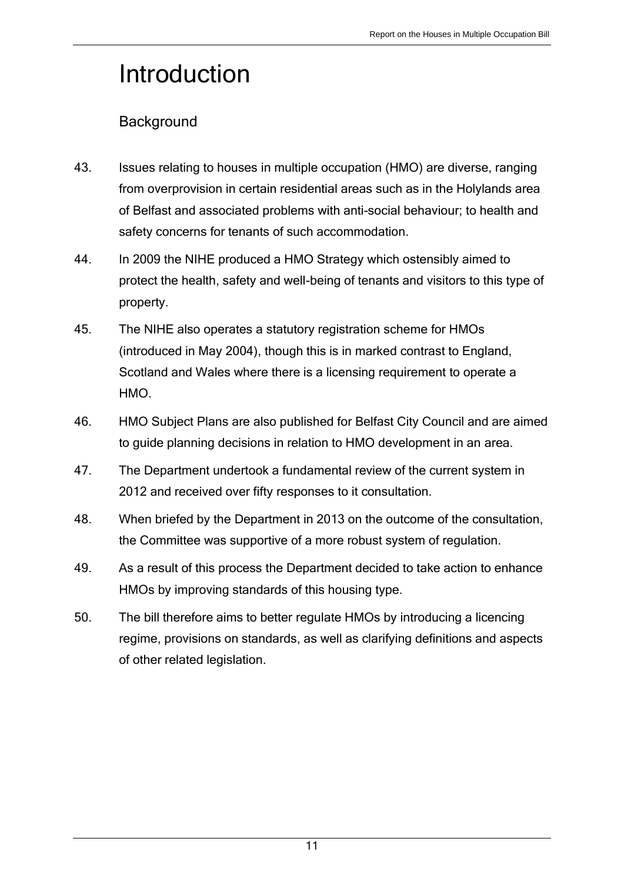# <span id="page-10-0"></span>Introduction

## **Background**

- 43. Issues relating to houses in multiple occupation (HMO) are diverse, ranging from overprovision in certain residential areas such as in the Holylands area of Belfast and associated problems with anti-social behaviour; to health and safety concerns for tenants of such accommodation.
- 44. In 2009 the NIHE produced a HMO Strategy which ostensibly aimed to protect the health, safety and well-being of tenants and visitors to this type of property.
- 45. The NIHE also operates a statutory registration scheme for HMOs (introduced in May 2004), though this is in marked contrast to England, Scotland and Wales where there is a licensing requirement to operate a HMO.
- 46. HMO Subject Plans are also published for Belfast City Council and are aimed to guide planning decisions in relation to HMO development in an area.
- 47. The Department undertook a fundamental review of the current system in 2012 and received over fifty responses to it consultation.
- 48. When briefed by the Department in 2013 on the outcome of the consultation, the Committee was supportive of a more robust system of regulation.
- 49. As a result of this process the Department decided to take action to enhance HMOs by improving standards of this housing type.
- 50. The bill therefore aims to better regulate HMOs by introducing a licencing regime, provisions on standards, as well as clarifying definitions and aspects of other related legislation.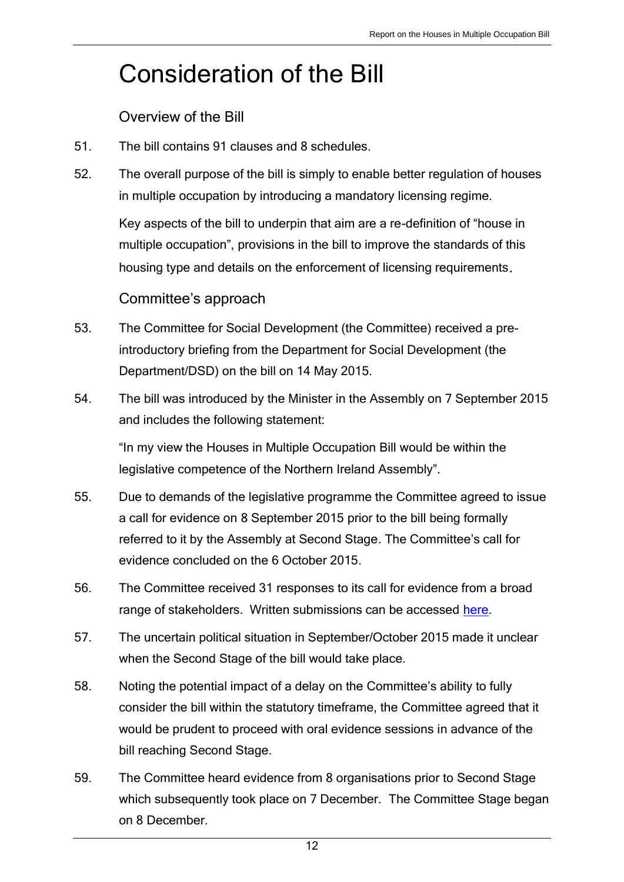# Consideration of the Bill

Overview of the Bill

- 51. The bill contains 91 clauses and 8 schedules.
- 52. The overall purpose of the bill is simply to enable better regulation of houses in multiple occupation by introducing a mandatory licensing regime.

Key aspects of the bill to underpin that aim are a re-definition of "house in multiple occupation", provisions in the bill to improve the standards of this housing type and details on the enforcement of licensing requirements.

## Committee's approach

- 53. The Committee for Social Development (the Committee) received a preintroductory briefing from the Department for Social Development (the Department/DSD) on the bill on 14 May 2015.
- 54. The bill was introduced by the Minister in the Assembly on 7 September 2015 and includes the following statement:

"In my view the Houses in Multiple Occupation Bill would be within the legislative competence of the Northern Ireland Assembly".

- 55. Due to demands of the legislative programme the Committee agreed to issue a call for evidence on 8 September 2015 prior to the bill being formally referred to it by the Assembly at Second Stage. The Committee's call for evidence concluded on the 6 October 2015.
- 56. The Committee received 31 responses to its call for evidence from a broad range of stakeholders. Written submissions can be accessed [here.](http://www.niassembly.gov.uk/assembly-business/committees/archive/social-development/legislation/houses-in-multiple-occupations-hmo-bill/written-submissions/)
- 57. The uncertain political situation in September/October 2015 made it unclear when the Second Stage of the bill would take place.
- 58. Noting the potential impact of a delay on the Committee's ability to fully consider the bill within the statutory timeframe, the Committee agreed that it would be prudent to proceed with oral evidence sessions in advance of the bill reaching Second Stage.
- 59. The Committee heard evidence from 8 organisations prior to Second Stage which subsequently took place on 7 December. The Committee Stage began on 8 December.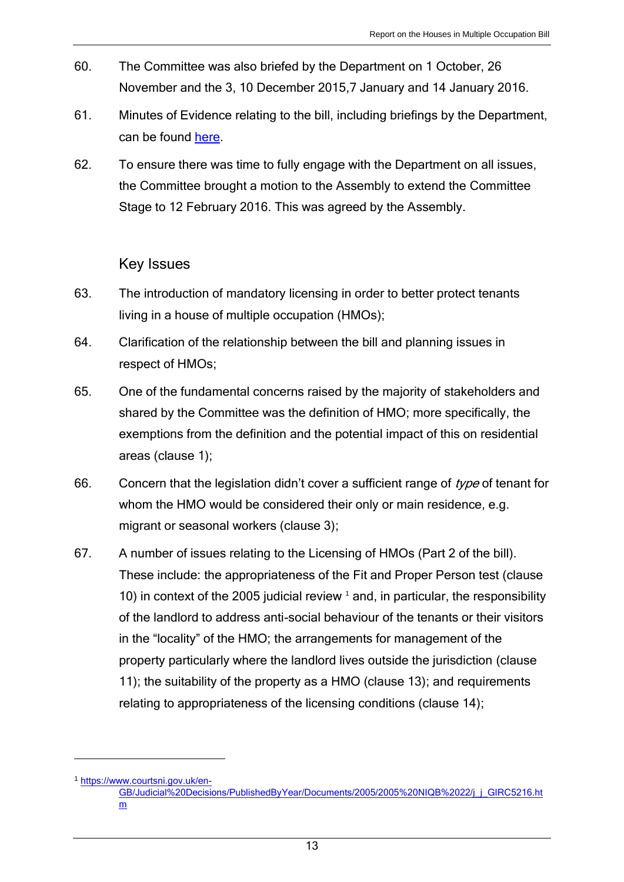- 60. The Committee was also briefed by the Department on 1 October, 26 November and the 3, 10 December 2015,7 January and 14 January 2016.
- 61. Minutes of Evidence relating to the bill, including briefings by the Department, can be found [here.](http://www.niassembly.gov.uk/assembly-business/committees/archive/social-development/legislation/houses-in-multiple-occupations-hmo-bill2/minutes-of-evidence/)
- 62. To ensure there was time to fully engage with the Department on all issues, the Committee brought a motion to the Assembly to extend the Committee Stage to 12 February 2016. This was agreed by the Assembly.

### Key Issues

- 63. The introduction of mandatory licensing in order to better protect tenants living in a house of multiple occupation (HMOs);
- 64. Clarification of the relationship between the bill and planning issues in respect of HMOs;
- 65. One of the fundamental concerns raised by the majority of stakeholders and shared by the Committee was the definition of HMO; more specifically, the exemptions from the definition and the potential impact of this on residential areas (clause 1);
- 66. Concern that the legislation didn't cover a sufficient range of  $type$  of tenant for whom the HMO would be considered their only or main residence, e.g. migrant or seasonal workers (clause 3);
- 67. A number of issues relating to the Licensing of HMOs (Part 2 of the bill). These include: the appropriateness of the Fit and Proper Person test (clause 10) in context of the 2005 judicial review  $<sup>1</sup>$  and, in particular, the responsibility</sup> of the landlord to address anti-social behaviour of the tenants or their visitors in the "locality" of the HMO; the arrangements for management of the property particularly where the landlord lives outside the jurisdiction (clause 11); the suitability of the property as a HMO (clause 13); and requirements relating to appropriateness of the licensing conditions (clause 14);

 $\overline{a}$ 

<sup>1</sup> [https://www.courtsni.gov.uk/en-](https://www.courtsni.gov.uk/en-GB/Judicial%20Decisions/PublishedByYear/Documents/2005/2005%20NIQB%2022/j_j_GIRC5216.htm)

[GB/Judicial%20Decisions/PublishedByYear/Documents/2005/2005%20NIQB%2022/j\\_j\\_GIRC5216.ht](https://www.courtsni.gov.uk/en-GB/Judicial%20Decisions/PublishedByYear/Documents/2005/2005%20NIQB%2022/j_j_GIRC5216.htm) [m](https://www.courtsni.gov.uk/en-GB/Judicial%20Decisions/PublishedByYear/Documents/2005/2005%20NIQB%2022/j_j_GIRC5216.htm)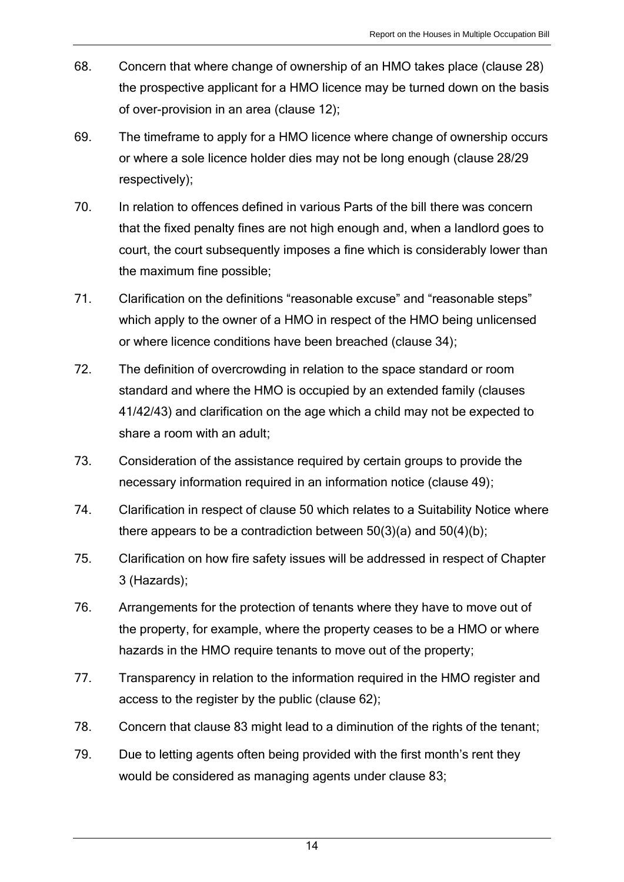- 68. Concern that where change of ownership of an HMO takes place (clause 28) the prospective applicant for a HMO licence may be turned down on the basis of over-provision in an area (clause 12);
- 69. The timeframe to apply for a HMO licence where change of ownership occurs or where a sole licence holder dies may not be long enough (clause 28/29 respectively);
- 70. In relation to offences defined in various Parts of the bill there was concern that the fixed penalty fines are not high enough and, when a landlord goes to court, the court subsequently imposes a fine which is considerably lower than the maximum fine possible;
- 71. Clarification on the definitions "reasonable excuse" and "reasonable steps" which apply to the owner of a HMO in respect of the HMO being unlicensed or where licence conditions have been breached (clause 34);
- 72. The definition of overcrowding in relation to the space standard or room standard and where the HMO is occupied by an extended family (clauses 41/42/43) and clarification on the age which a child may not be expected to share a room with an adult;
- 73. Consideration of the assistance required by certain groups to provide the necessary information required in an information notice (clause 49);
- 74. Clarification in respect of clause 50 which relates to a Suitability Notice where there appears to be a contradiction between  $50(3)(a)$  and  $50(4)(b)$ ;
- 75. Clarification on how fire safety issues will be addressed in respect of Chapter 3 (Hazards);
- 76. Arrangements for the protection of tenants where they have to move out of the property, for example, where the property ceases to be a HMO or where hazards in the HMO require tenants to move out of the property;
- 77. Transparency in relation to the information required in the HMO register and access to the register by the public (clause 62);
- 78. Concern that clause 83 might lead to a diminution of the rights of the tenant;
- 79. Due to letting agents often being provided with the first month's rent they would be considered as managing agents under clause 83;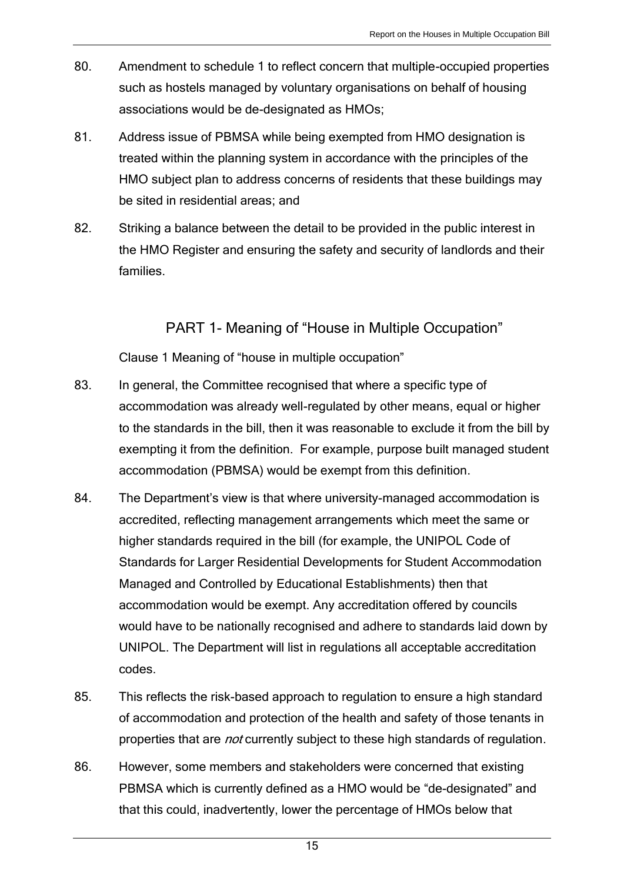- 80. Amendment to schedule 1 to reflect concern that multiple-occupied properties such as hostels managed by voluntary organisations on behalf of housing associations would be de-designated as HMOs;
- 81. Address issue of PBMSA while being exempted from HMO designation is treated within the planning system in accordance with the principles of the HMO subject plan to address concerns of residents that these buildings may be sited in residential areas; and
- 82. Striking a balance between the detail to be provided in the public interest in the HMO Register and ensuring the safety and security of landlords and their families.

## PART 1- Meaning of "House in Multiple Occupation"

Clause 1 Meaning of "house in multiple occupation"

- 83. In general, the Committee recognised that where a specific type of accommodation was already well-regulated by other means, equal or higher to the standards in the bill, then it was reasonable to exclude it from the bill by exempting it from the definition. For example, purpose built managed student accommodation (PBMSA) would be exempt from this definition.
- 84. The Department's view is that where university-managed accommodation is accredited, reflecting management arrangements which meet the same or higher standards required in the bill (for example, the UNIPOL Code of Standards for Larger Residential Developments for Student Accommodation Managed and Controlled by Educational Establishments) then that accommodation would be exempt. Any accreditation offered by councils would have to be nationally recognised and adhere to standards laid down by UNIPOL. The Department will list in regulations all acceptable accreditation codes.
- 85. This reflects the risk-based approach to regulation to ensure a high standard of accommodation and protection of the health and safety of those tenants in properties that are *not* currently subject to these high standards of regulation.
- 86. However, some members and stakeholders were concerned that existing PBMSA which is currently defined as a HMO would be "de-designated" and that this could, inadvertently, lower the percentage of HMOs below that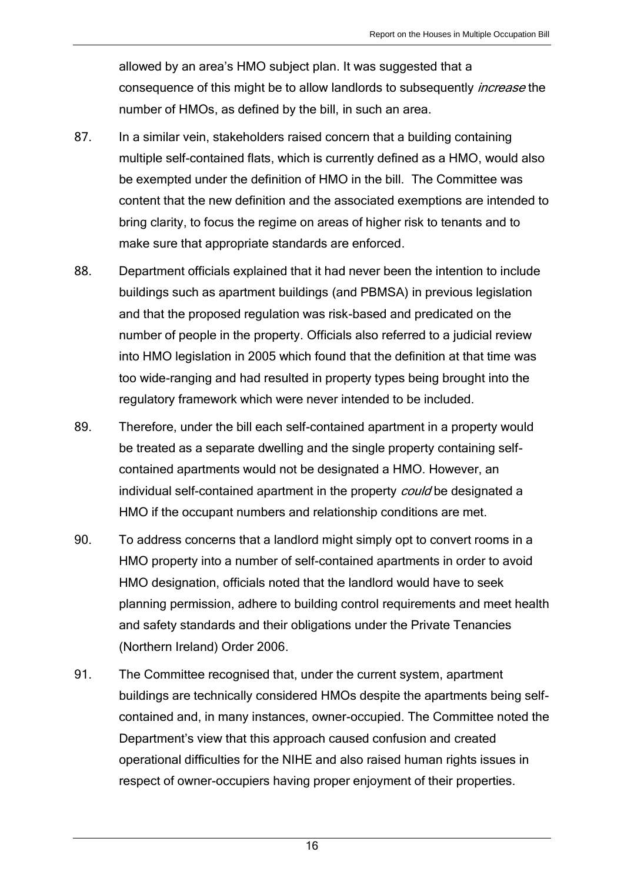allowed by an area's HMO subject plan. It was suggested that a consequence of this might be to allow landlords to subsequently *increase* the number of HMOs, as defined by the bill, in such an area.

- 87. In a similar vein, stakeholders raised concern that a building containing multiple self-contained flats, which is currently defined as a HMO, would also be exempted under the definition of HMO in the bill. The Committee was content that the new definition and the associated exemptions are intended to bring clarity, to focus the regime on areas of higher risk to tenants and to make sure that appropriate standards are enforced.
- 88. Department officials explained that it had never been the intention to include buildings such as apartment buildings (and PBMSA) in previous legislation and that the proposed regulation was risk-based and predicated on the number of people in the property. Officials also referred to a judicial review into HMO legislation in 2005 which found that the definition at that time was too wide-ranging and had resulted in property types being brought into the regulatory framework which were never intended to be included.
- 89. Therefore, under the bill each self-contained apartment in a property would be treated as a separate dwelling and the single property containing selfcontained apartments would not be designated a HMO. However, an individual self-contained apartment in the property *could* be designated a HMO if the occupant numbers and relationship conditions are met.
- 90. To address concerns that a landlord might simply opt to convert rooms in a HMO property into a number of self-contained apartments in order to avoid HMO designation, officials noted that the landlord would have to seek planning permission, adhere to building control requirements and meet health and safety standards and their obligations under the Private Tenancies (Northern Ireland) Order 2006.
- 91. The Committee recognised that, under the current system, apartment buildings are technically considered HMOs despite the apartments being selfcontained and, in many instances, owner-occupied. The Committee noted the Department's view that this approach caused confusion and created operational difficulties for the NIHE and also raised human rights issues in respect of owner-occupiers having proper enjoyment of their properties.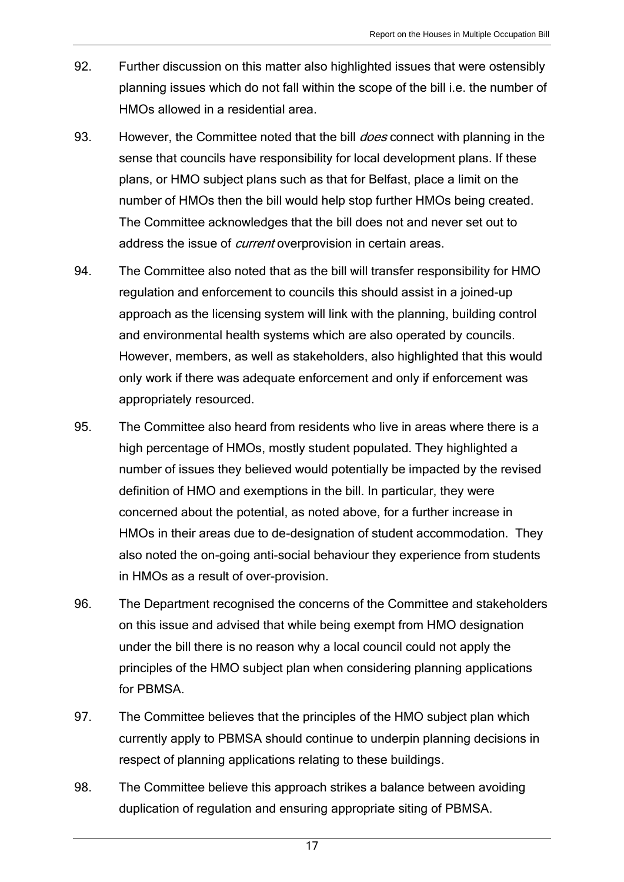- 92. Further discussion on this matter also highlighted issues that were ostensibly planning issues which do not fall within the scope of the bill i.e. the number of HMOs allowed in a residential area.
- 93. However, the Committee noted that the bill *does* connect with planning in the sense that councils have responsibility for local development plans. If these plans, or HMO subject plans such as that for Belfast, place a limit on the number of HMOs then the bill would help stop further HMOs being created. The Committee acknowledges that the bill does not and never set out to address the issue of *current* overprovision in certain areas.
- 94. The Committee also noted that as the bill will transfer responsibility for HMO regulation and enforcement to councils this should assist in a joined-up approach as the licensing system will link with the planning, building control and environmental health systems which are also operated by councils. However, members, as well as stakeholders, also highlighted that this would only work if there was adequate enforcement and only if enforcement was appropriately resourced.
- 95. The Committee also heard from residents who live in areas where there is a high percentage of HMOs, mostly student populated. They highlighted a number of issues they believed would potentially be impacted by the revised definition of HMO and exemptions in the bill. In particular, they were concerned about the potential, as noted above, for a further increase in HMOs in their areas due to de-designation of student accommodation. They also noted the on-going anti-social behaviour they experience from students in HMOs as a result of over-provision.
- 96. The Department recognised the concerns of the Committee and stakeholders on this issue and advised that while being exempt from HMO designation under the bill there is no reason why a local council could not apply the principles of the HMO subject plan when considering planning applications for PBMSA.
- 97. The Committee believes that the principles of the HMO subject plan which currently apply to PBMSA should continue to underpin planning decisions in respect of planning applications relating to these buildings.
- 98. The Committee believe this approach strikes a balance between avoiding duplication of regulation and ensuring appropriate siting of PBMSA.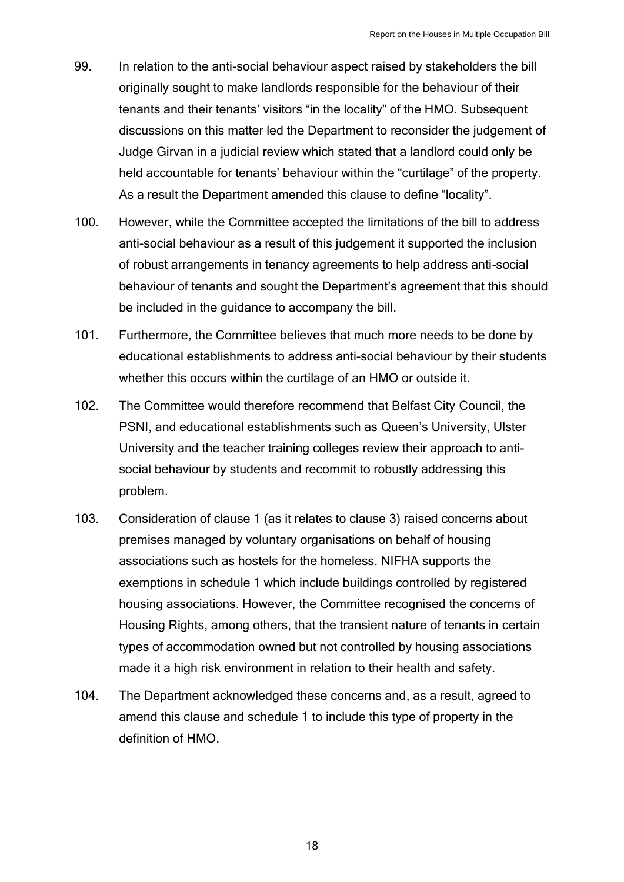- 99. In relation to the anti-social behaviour aspect raised by stakeholders the bill originally sought to make landlords responsible for the behaviour of their tenants and their tenants' visitors "in the locality" of the HMO. Subsequent discussions on this matter led the Department to reconsider the judgement of Judge Girvan in a judicial review which stated that a landlord could only be held accountable for tenants' behaviour within the "curtilage" of the property. As a result the Department amended this clause to define "locality".
- 100. However, while the Committee accepted the limitations of the bill to address anti-social behaviour as a result of this judgement it supported the inclusion of robust arrangements in tenancy agreements to help address anti-social behaviour of tenants and sought the Department's agreement that this should be included in the guidance to accompany the bill.
- 101. Furthermore, the Committee believes that much more needs to be done by educational establishments to address anti-social behaviour by their students whether this occurs within the curtilage of an HMO or outside it.
- 102. The Committee would therefore recommend that Belfast City Council, the PSNI, and educational establishments such as Queen's University, Ulster University and the teacher training colleges review their approach to antisocial behaviour by students and recommit to robustly addressing this problem.
- 103. Consideration of clause 1 (as it relates to clause 3) raised concerns about premises managed by voluntary organisations on behalf of housing associations such as hostels for the homeless. NIFHA supports the exemptions in schedule 1 which include buildings controlled by registered housing associations. However, the Committee recognised the concerns of Housing Rights, among others, that the transient nature of tenants in certain types of accommodation owned but not controlled by housing associations made it a high risk environment in relation to their health and safety.
- 104. The Department acknowledged these concerns and, as a result, agreed to amend this clause and schedule 1 to include this type of property in the definition of HMO.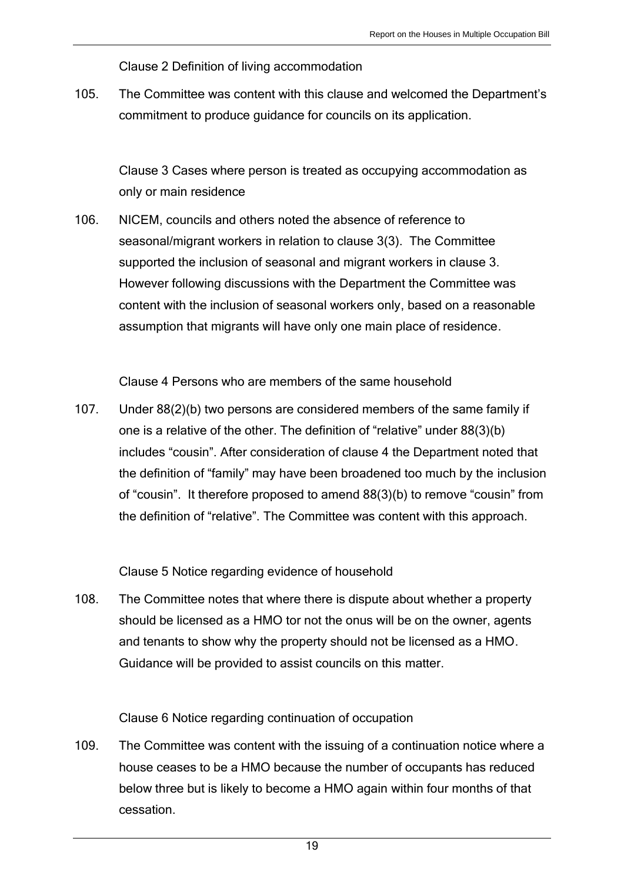Clause 2 Definition of living accommodation

105. The Committee was content with this clause and welcomed the Department's commitment to produce guidance for councils on its application.

Clause 3 Cases where person is treated as occupying accommodation as only or main residence

106. NICEM, councils and others noted the absence of reference to seasonal/migrant workers in relation to clause 3(3). The Committee supported the inclusion of seasonal and migrant workers in clause 3. However following discussions with the Department the Committee was content with the inclusion of seasonal workers only, based on a reasonable assumption that migrants will have only one main place of residence.

Clause 4 Persons who are members of the same household

107. Under 88(2)(b) two persons are considered members of the same family if one is a relative of the other. The definition of "relative" under 88(3)(b) includes "cousin". After consideration of clause 4 the Department noted that the definition of "family" may have been broadened too much by the inclusion of "cousin". It therefore proposed to amend 88(3)(b) to remove "cousin" from the definition of "relative". The Committee was content with this approach.

Clause 5 Notice regarding evidence of household

108. The Committee notes that where there is dispute about whether a property should be licensed as a HMO tor not the onus will be on the owner, agents and tenants to show why the property should not be licensed as a HMO. Guidance will be provided to assist councils on this matter.

Clause 6 Notice regarding continuation of occupation

109. The Committee was content with the issuing of a continuation notice where a house ceases to be a HMO because the number of occupants has reduced below three but is likely to become a HMO again within four months of that cessation.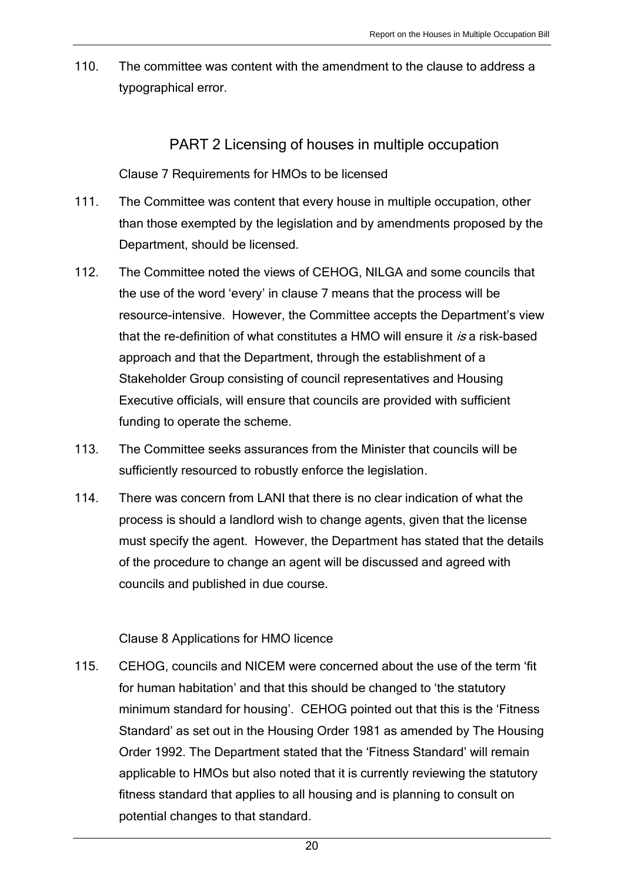110. The committee was content with the amendment to the clause to address a typographical error.

### PART 2 Licensing of houses in multiple occupation

Clause 7 Requirements for HMOs to be licensed

- 111. The Committee was content that every house in multiple occupation, other than those exempted by the legislation and by amendments proposed by the Department, should be licensed.
- 112. The Committee noted the views of CEHOG, NILGA and some councils that the use of the word 'every' in clause 7 means that the process will be resource-intensive. However, the Committee accepts the Department's view that the re-definition of what constitutes a HMO will ensure it is a risk-based approach and that the Department, through the establishment of a Stakeholder Group consisting of council representatives and Housing Executive officials, will ensure that councils are provided with sufficient funding to operate the scheme.
- 113. The Committee seeks assurances from the Minister that councils will be sufficiently resourced to robustly enforce the legislation.
- 114. There was concern from LANI that there is no clear indication of what the process is should a landlord wish to change agents, given that the license must specify the agent. However, the Department has stated that the details of the procedure to change an agent will be discussed and agreed with councils and published in due course.

#### Clause 8 Applications for HMO licence

115. CEHOG, councils and NICEM were concerned about the use of the term 'fit for human habitation' and that this should be changed to 'the statutory minimum standard for housing'. CEHOG pointed out that this is the 'Fitness Standard' as set out in the Housing Order 1981 as amended by The Housing Order 1992. The Department stated that the 'Fitness Standard' will remain applicable to HMOs but also noted that it is currently reviewing the statutory fitness standard that applies to all housing and is planning to consult on potential changes to that standard.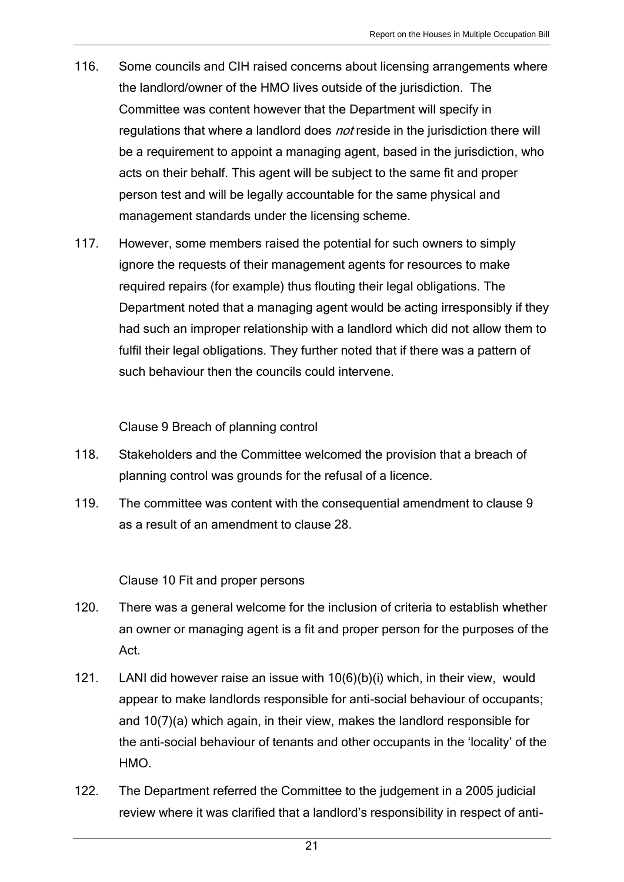- 116. Some councils and CIH raised concerns about licensing arrangements where the landlord/owner of the HMO lives outside of the jurisdiction. The Committee was content however that the Department will specify in regulations that where a landlord does not reside in the jurisdiction there will be a requirement to appoint a managing agent, based in the jurisdiction, who acts on their behalf. This agent will be subject to the same fit and proper person test and will be legally accountable for the same physical and management standards under the licensing scheme.
- 117. However, some members raised the potential for such owners to simply ignore the requests of their management agents for resources to make required repairs (for example) thus flouting their legal obligations. The Department noted that a managing agent would be acting irresponsibly if they had such an improper relationship with a landlord which did not allow them to fulfil their legal obligations. They further noted that if there was a pattern of such behaviour then the councils could intervene.

Clause 9 Breach of planning control

- 118. Stakeholders and the Committee welcomed the provision that a breach of planning control was grounds for the refusal of a licence.
- 119. The committee was content with the consequential amendment to clause 9 as a result of an amendment to clause 28.

Clause 10 Fit and proper persons

- 120. There was a general welcome for the inclusion of criteria to establish whether an owner or managing agent is a fit and proper person for the purposes of the Act.
- 121. LANI did however raise an issue with 10(6)(b)(i) which, in their view, would appear to make landlords responsible for anti-social behaviour of occupants; and 10(7)(a) which again, in their view, makes the landlord responsible for the anti-social behaviour of tenants and other occupants in the 'locality' of the HMO.
- 122. The Department referred the Committee to the judgement in a 2005 judicial review where it was clarified that a landlord's responsibility in respect of anti-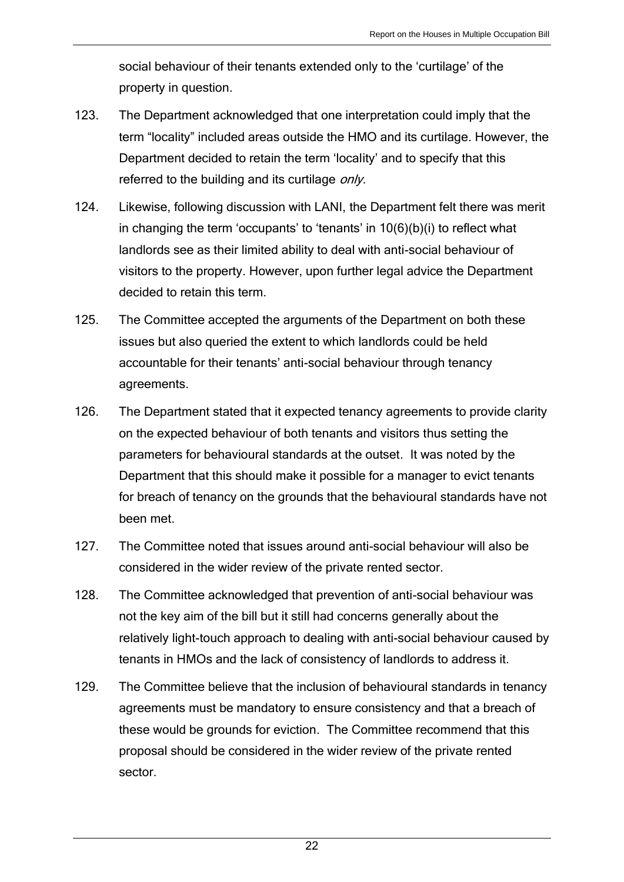social behaviour of their tenants extended only to the 'curtilage' of the property in question.

- 123. The Department acknowledged that one interpretation could imply that the term "locality" included areas outside the HMO and its curtilage. However, the Department decided to retain the term 'locality' and to specify that this referred to the building and its curtilage *only*.
- 124. Likewise, following discussion with LANI, the Department felt there was merit in changing the term 'occupants' to 'tenants' in 10(6)(b)(i) to reflect what landlords see as their limited ability to deal with anti-social behaviour of visitors to the property. However, upon further legal advice the Department decided to retain this term.
- 125. The Committee accepted the arguments of the Department on both these issues but also queried the extent to which landlords could be held accountable for their tenants' anti-social behaviour through tenancy agreements.
- 126. The Department stated that it expected tenancy agreements to provide clarity on the expected behaviour of both tenants and visitors thus setting the parameters for behavioural standards at the outset. It was noted by the Department that this should make it possible for a manager to evict tenants for breach of tenancy on the grounds that the behavioural standards have not been met.
- 127. The Committee noted that issues around anti-social behaviour will also be considered in the wider review of the private rented sector.
- 128. The Committee acknowledged that prevention of anti-social behaviour was not the key aim of the bill but it still had concerns generally about the relatively light-touch approach to dealing with anti-social behaviour caused by tenants in HMOs and the lack of consistency of landlords to address it.
- 129. The Committee believe that the inclusion of behavioural standards in tenancy agreements must be mandatory to ensure consistency and that a breach of these would be grounds for eviction. The Committee recommend that this proposal should be considered in the wider review of the private rented sector.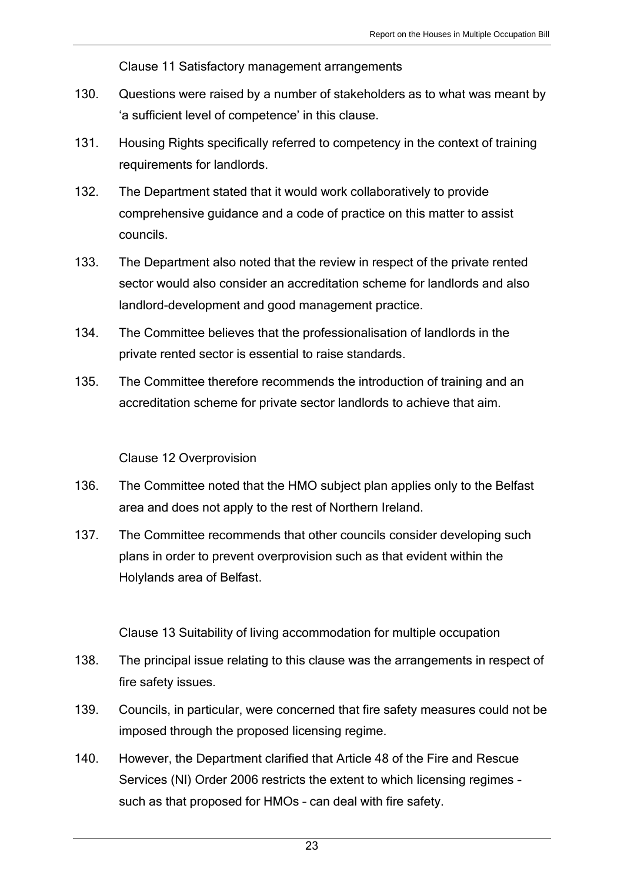Clause 11 Satisfactory management arrangements

- 130. Questions were raised by a number of stakeholders as to what was meant by 'a sufficient level of competence' in this clause.
- 131. Housing Rights specifically referred to competency in the context of training requirements for landlords.
- 132. The Department stated that it would work collaboratively to provide comprehensive guidance and a code of practice on this matter to assist councils.
- 133. The Department also noted that the review in respect of the private rented sector would also consider an accreditation scheme for landlords and also landlord-development and good management practice.
- 134. The Committee believes that the professionalisation of landlords in the private rented sector is essential to raise standards.
- 135. The Committee therefore recommends the introduction of training and an accreditation scheme for private sector landlords to achieve that aim.

#### Clause 12 Overprovision

- 136. The Committee noted that the HMO subject plan applies only to the Belfast area and does not apply to the rest of Northern Ireland.
- 137. The Committee recommends that other councils consider developing such plans in order to prevent overprovision such as that evident within the Holylands area of Belfast.

Clause 13 Suitability of living accommodation for multiple occupation

- 138. The principal issue relating to this clause was the arrangements in respect of fire safety issues.
- 139. Councils, in particular, were concerned that fire safety measures could not be imposed through the proposed licensing regime.
- 140. However, the Department clarified that Article 48 of the Fire and Rescue Services (NI) Order 2006 restricts the extent to which licensing regimes – such as that proposed for HMOs – can deal with fire safety.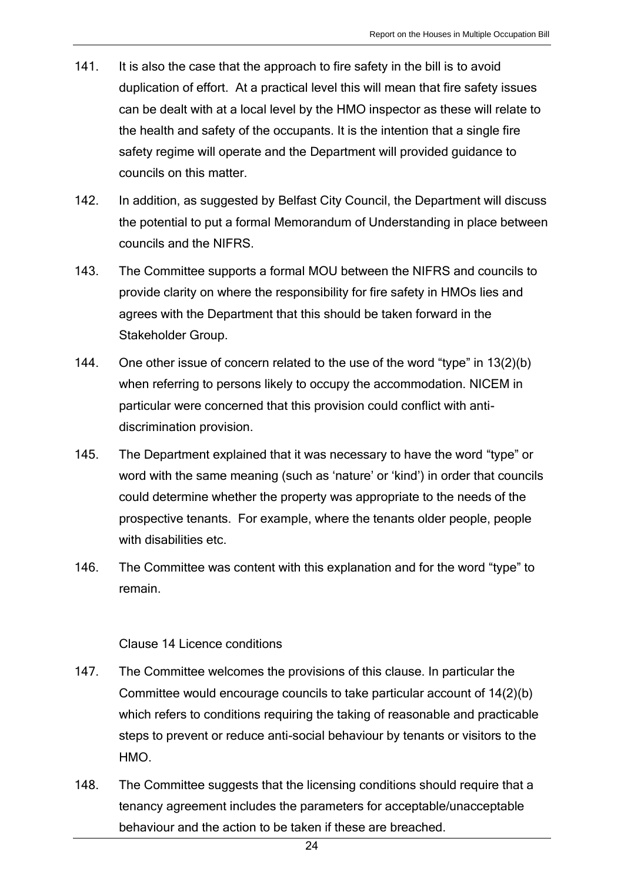- 141. It is also the case that the approach to fire safety in the bill is to avoid duplication of effort. At a practical level this will mean that fire safety issues can be dealt with at a local level by the HMO inspector as these will relate to the health and safety of the occupants. It is the intention that a single fire safety regime will operate and the Department will provided guidance to councils on this matter.
- 142. In addition, as suggested by Belfast City Council, the Department will discuss the potential to put a formal Memorandum of Understanding in place between councils and the NIFRS.
- 143. The Committee supports a formal MOU between the NIFRS and councils to provide clarity on where the responsibility for fire safety in HMOs lies and agrees with the Department that this should be taken forward in the Stakeholder Group.
- 144. One other issue of concern related to the use of the word "type" in 13(2)(b) when referring to persons likely to occupy the accommodation. NICEM in particular were concerned that this provision could conflict with antidiscrimination provision.
- 145. The Department explained that it was necessary to have the word "type" or word with the same meaning (such as 'nature' or 'kind') in order that councils could determine whether the property was appropriate to the needs of the prospective tenants. For example, where the tenants older people, people with disabilities etc.
- 146. The Committee was content with this explanation and for the word "type" to remain.

#### Clause 14 Licence conditions

- 147. The Committee welcomes the provisions of this clause. In particular the Committee would encourage councils to take particular account of 14(2)(b) which refers to conditions requiring the taking of reasonable and practicable steps to prevent or reduce anti-social behaviour by tenants or visitors to the HMO.
- 148. The Committee suggests that the licensing conditions should require that a tenancy agreement includes the parameters for acceptable/unacceptable behaviour and the action to be taken if these are breached.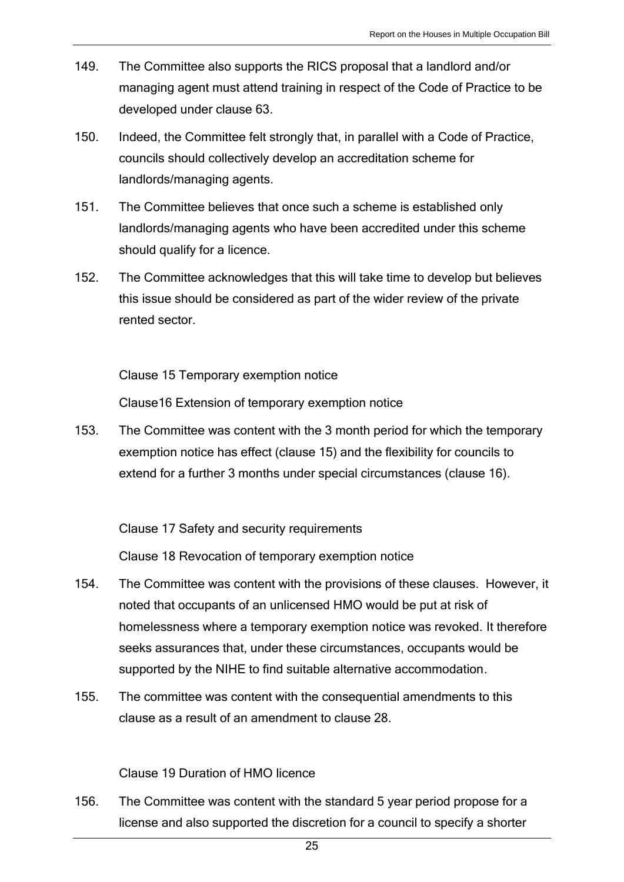- 149. The Committee also supports the RICS proposal that a landlord and/or managing agent must attend training in respect of the Code of Practice to be developed under clause 63.
- 150. Indeed, the Committee felt strongly that, in parallel with a Code of Practice, councils should collectively develop an accreditation scheme for landlords/managing agents.
- 151. The Committee believes that once such a scheme is established only landlords/managing agents who have been accredited under this scheme should qualify for a licence.
- 152. The Committee acknowledges that this will take time to develop but believes this issue should be considered as part of the wider review of the private rented sector.

Clause 15 Temporary exemption notice

Clause16 Extension of temporary exemption notice

153. The Committee was content with the 3 month period for which the temporary exemption notice has effect (clause 15) and the flexibility for councils to extend for a further 3 months under special circumstances (clause 16).

Clause 17 Safety and security requirements

Clause 18 Revocation of temporary exemption notice

- 154. The Committee was content with the provisions of these clauses. However, it noted that occupants of an unlicensed HMO would be put at risk of homelessness where a temporary exemption notice was revoked. It therefore seeks assurances that, under these circumstances, occupants would be supported by the NIHE to find suitable alternative accommodation.
- 155. The committee was content with the consequential amendments to this clause as a result of an amendment to clause 28.

#### Clause 19 Duration of HMO licence

156. The Committee was content with the standard 5 year period propose for a license and also supported the discretion for a council to specify a shorter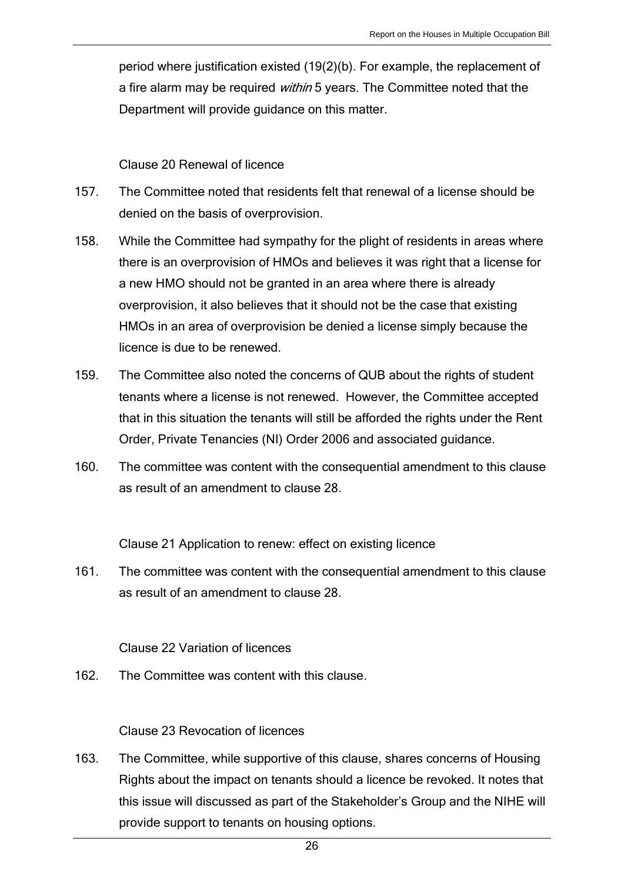period where justification existed (19(2)(b). For example, the replacement of a fire alarm may be required *within* 5 years. The Committee noted that the Department will provide guidance on this matter.

#### Clause 20 Renewal of licence

- 157. The Committee noted that residents felt that renewal of a license should be denied on the basis of overprovision.
- 158. While the Committee had sympathy for the plight of residents in areas where there is an overprovision of HMOs and believes it was right that a license for a new HMO should not be granted in an area where there is already overprovision, it also believes that it should not be the case that existing HMOs in an area of overprovision be denied a license simply because the licence is due to be renewed.
- 159. The Committee also noted the concerns of QUB about the rights of student tenants where a license is not renewed. However, the Committee accepted that in this situation the tenants will still be afforded the rights under the Rent Order, Private Tenancies (NI) Order 2006 and associated guidance.
- 160. The committee was content with the consequential amendment to this clause as result of an amendment to clause 28.

Clause 21 Application to renew: effect on existing licence

161. The committee was content with the consequential amendment to this clause as result of an amendment to clause 28.

#### Clause 22 Variation of licences

162. The Committee was content with this clause.

#### Clause 23 Revocation of licences

163. The Committee, while supportive of this clause, shares concerns of Housing Rights about the impact on tenants should a licence be revoked. It notes that this issue will discussed as part of the Stakeholder's Group and the NIHE will provide support to tenants on housing options.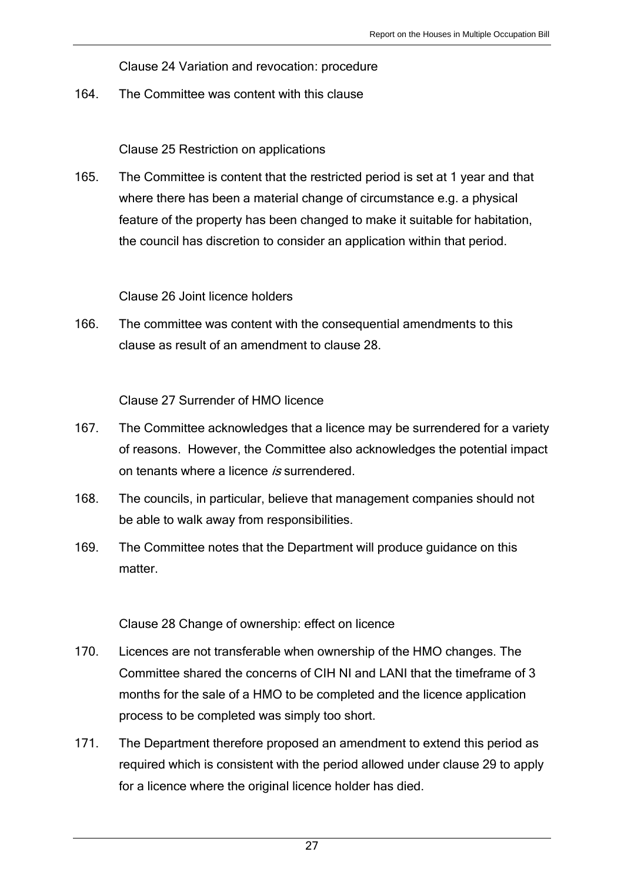Clause 24 Variation and revocation: procedure

164. The Committee was content with this clause

Clause 25 Restriction on applications

165. The Committee is content that the restricted period is set at 1 year and that where there has been a material change of circumstance e.g. a physical feature of the property has been changed to make it suitable for habitation, the council has discretion to consider an application within that period.

Clause 26 Joint licence holders

166. The committee was content with the consequential amendments to this clause as result of an amendment to clause 28.

Clause 27 Surrender of HMO licence

- 167. The Committee acknowledges that a licence may be surrendered for a variety of reasons. However, the Committee also acknowledges the potential impact on tenants where a licence is surrendered.
- 168. The councils, in particular, believe that management companies should not be able to walk away from responsibilities.
- 169. The Committee notes that the Department will produce guidance on this matter.

Clause 28 Change of ownership: effect on licence

- 170. Licences are not transferable when ownership of the HMO changes. The Committee shared the concerns of CIH NI and LANI that the timeframe of 3 months for the sale of a HMO to be completed and the licence application process to be completed was simply too short.
- 171. The Department therefore proposed an amendment to extend this period as required which is consistent with the period allowed under clause 29 to apply for a licence where the original licence holder has died.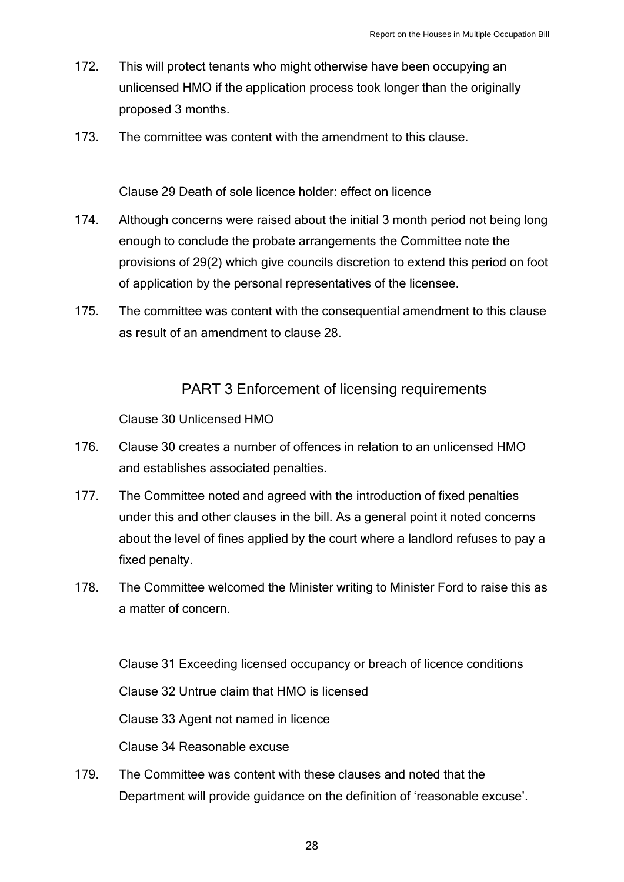- 172. This will protect tenants who might otherwise have been occupying an unlicensed HMO if the application process took longer than the originally proposed 3 months.
- 173. The committee was content with the amendment to this clause.

Clause 29 Death of sole licence holder: effect on licence

- 174. Although concerns were raised about the initial 3 month period not being long enough to conclude the probate arrangements the Committee note the provisions of 29(2) which give councils discretion to extend this period on foot of application by the personal representatives of the licensee.
- 175. The committee was content with the consequential amendment to this clause as result of an amendment to clause 28.

## PART 3 Enforcement of licensing requirements

Clause 30 Unlicensed HMO

- 176. Clause 30 creates a number of offences in relation to an unlicensed HMO and establishes associated penalties.
- 177. The Committee noted and agreed with the introduction of fixed penalties under this and other clauses in the bill. As a general point it noted concerns about the level of fines applied by the court where a landlord refuses to pay a fixed penalty.
- 178. The Committee welcomed the Minister writing to Minister Ford to raise this as a matter of concern.

Clause 31 Exceeding licensed occupancy or breach of licence conditions

Clause 32 Untrue claim that HMO is licensed

Clause 33 Agent not named in licence

Clause 34 Reasonable excuse

179. The Committee was content with these clauses and noted that the Department will provide guidance on the definition of 'reasonable excuse'.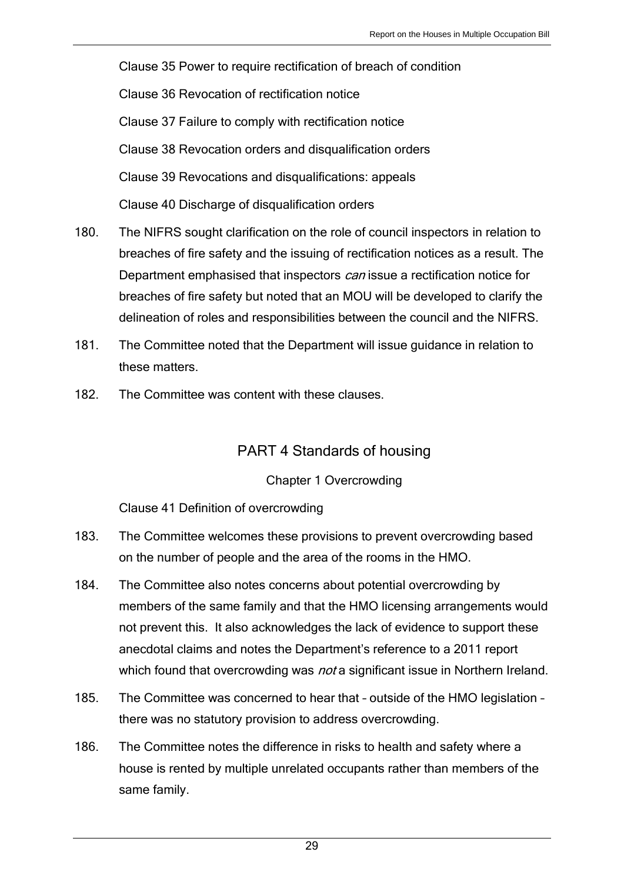Clause 35 Power to require rectification of breach of condition Clause 36 Revocation of rectification notice Clause 37 Failure to comply with rectification notice Clause 38 Revocation orders and disqualification orders Clause 39 Revocations and disqualifications: appeals Clause 40 Discharge of disqualification orders

- 180. The NIFRS sought clarification on the role of council inspectors in relation to breaches of fire safety and the issuing of rectification notices as a result. The Department emphasised that inspectors *can* issue a rectification notice for breaches of fire safety but noted that an MOU will be developed to clarify the delineation of roles and responsibilities between the council and the NIFRS.
- 181. The Committee noted that the Department will issue guidance in relation to these matters.
- 182. The Committee was content with these clauses.

## PART 4 Standards of housing

#### Chapter 1 Overcrowding

### Clause 41 Definition of overcrowding

- 183. The Committee welcomes these provisions to prevent overcrowding based on the number of people and the area of the rooms in the HMO.
- 184. The Committee also notes concerns about potential overcrowding by members of the same family and that the HMO licensing arrangements would not prevent this. It also acknowledges the lack of evidence to support these anecdotal claims and notes the Department's reference to a 2011 report which found that overcrowding was *not* a significant issue in Northern Ireland.
- 185. The Committee was concerned to hear that outside of the HMO legislation there was no statutory provision to address overcrowding.
- 186. The Committee notes the difference in risks to health and safety where a house is rented by multiple unrelated occupants rather than members of the same family.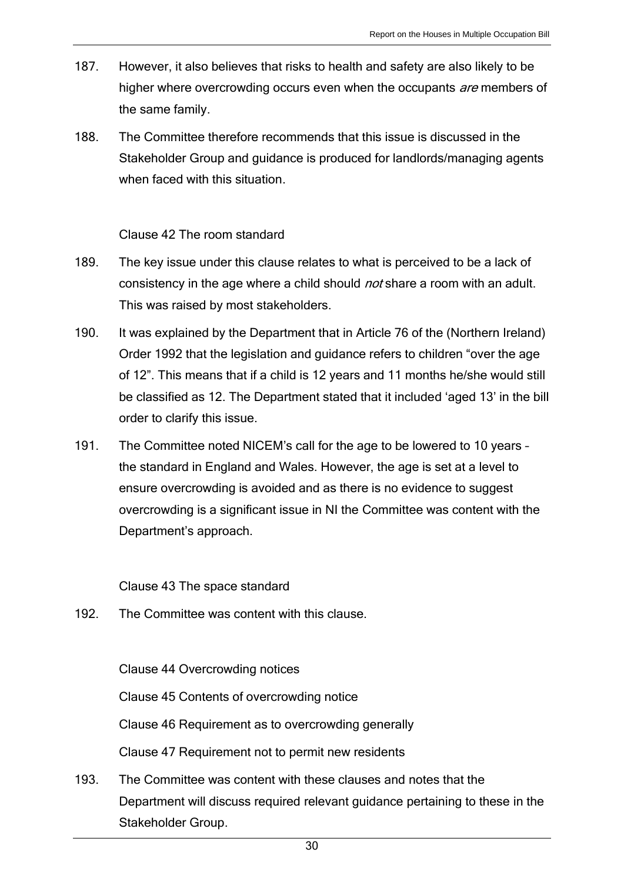- 187. However, it also believes that risks to health and safety are also likely to be higher where overcrowding occurs even when the occupants are members of the same family.
- 188. The Committee therefore recommends that this issue is discussed in the Stakeholder Group and guidance is produced for landlords/managing agents when faced with this situation

#### Clause 42 The room standard

- 189. The key issue under this clause relates to what is perceived to be a lack of consistency in the age where a child should not share a room with an adult. This was raised by most stakeholders.
- 190. It was explained by the Department that in Article 76 of the (Northern Ireland) Order 1992 that the legislation and guidance refers to children "over the age of 12". This means that if a child is 12 years and 11 months he/she would still be classified as 12. The Department stated that it included 'aged 13' in the bill order to clarify this issue.
- 191. The Committee noted NICEM's call for the age to be lowered to 10 years the standard in England and Wales. However, the age is set at a level to ensure overcrowding is avoided and as there is no evidence to suggest overcrowding is a significant issue in NI the Committee was content with the Department's approach.

#### Clause 43 The space standard

192. The Committee was content with this clause.

#### Clause 44 Overcrowding notices

Clause 45 Contents of overcrowding notice

Clause 46 Requirement as to overcrowding generally

Clause 47 Requirement not to permit new residents

193. The Committee was content with these clauses and notes that the Department will discuss required relevant guidance pertaining to these in the Stakeholder Group.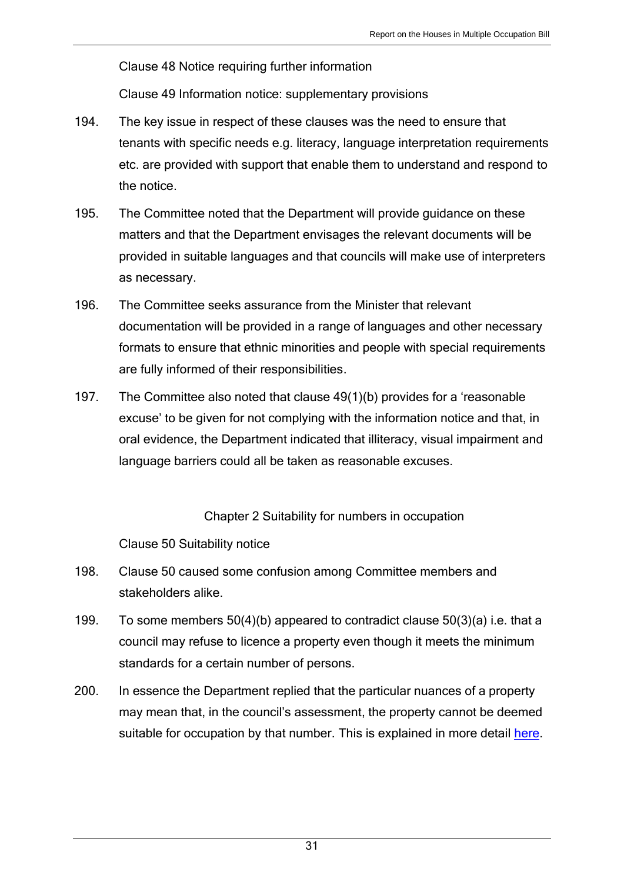Clause 48 Notice requiring further information

Clause 49 Information notice: supplementary provisions

- 194. The key issue in respect of these clauses was the need to ensure that tenants with specific needs e.g. literacy, language interpretation requirements etc. are provided with support that enable them to understand and respond to the notice.
- 195. The Committee noted that the Department will provide guidance on these matters and that the Department envisages the relevant documents will be provided in suitable languages and that councils will make use of interpreters as necessary.
- 196. The Committee seeks assurance from the Minister that relevant documentation will be provided in a range of languages and other necessary formats to ensure that ethnic minorities and people with special requirements are fully informed of their responsibilities.
- 197. The Committee also noted that clause 49(1)(b) provides for a 'reasonable excuse' to be given for not complying with the information notice and that, in oral evidence, the Department indicated that illiteracy, visual impairment and language barriers could all be taken as reasonable excuses.

Chapter 2 Suitability for numbers in occupation

Clause 50 Suitability notice

- 198. Clause 50 caused some confusion among Committee members and stakeholders alike.
- 199. To some members 50(4)(b) appeared to contradict clause 50(3)(a) i.e. that a council may refuse to licence a property even though it meets the minimum standards for a certain number of persons.
- 200. In essence the Department replied that the particular nuances of a property may mean that, in the council's assessment, the property cannot be deemed suitable for occupation by that number. This is explained in more detail [here.](http://www.niassembly.gov.uk/globalassets/documents/social-dev/hmo-bill/dsd-papers-and-memoranda/dsd-letter-re-hmo-bill-clause-50.pdf)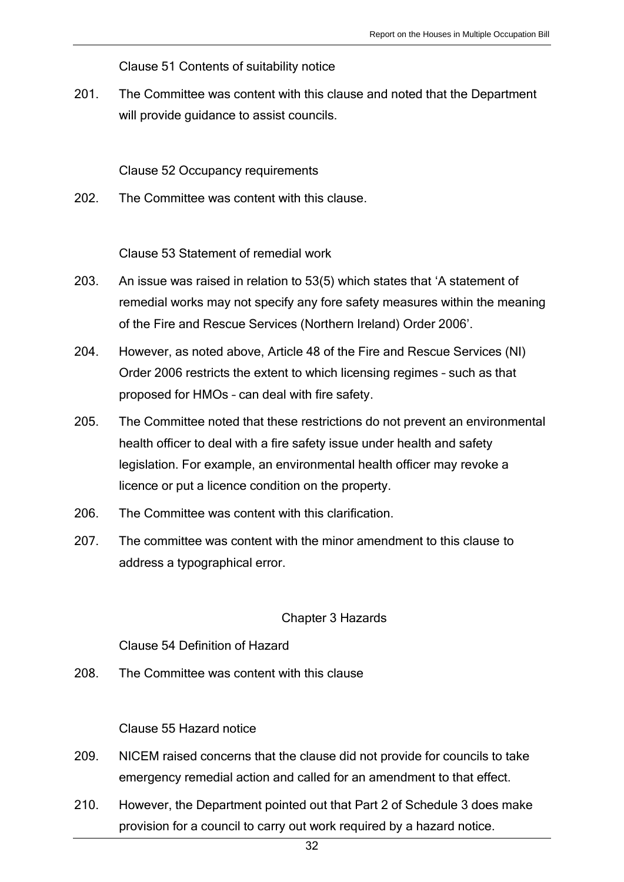Clause 51 Contents of suitability notice

201. The Committee was content with this clause and noted that the Department will provide guidance to assist councils.

Clause 52 Occupancy requirements

202. The Committee was content with this clause.

Clause 53 Statement of remedial work

- 203. An issue was raised in relation to 53(5) which states that 'A statement of remedial works may not specify any fore safety measures within the meaning of the Fire and Rescue Services (Northern Ireland) Order 2006'.
- 204. However, as noted above, Article 48 of the Fire and Rescue Services (NI) Order 2006 restricts the extent to which licensing regimes – such as that proposed for HMOs – can deal with fire safety.
- 205. The Committee noted that these restrictions do not prevent an environmental health officer to deal with a fire safety issue under health and safety legislation. For example, an environmental health officer may revoke a licence or put a licence condition on the property.
- 206. The Committee was content with this clarification.
- 207. The committee was content with the minor amendment to this clause to address a typographical error.

#### Chapter 3 Hazards

Clause 54 Definition of Hazard

208. The Committee was content with this clause

Clause 55 Hazard notice

- 209. NICEM raised concerns that the clause did not provide for councils to take emergency remedial action and called for an amendment to that effect.
- 210. However, the Department pointed out that Part 2 of Schedule 3 does make provision for a council to carry out work required by a hazard notice.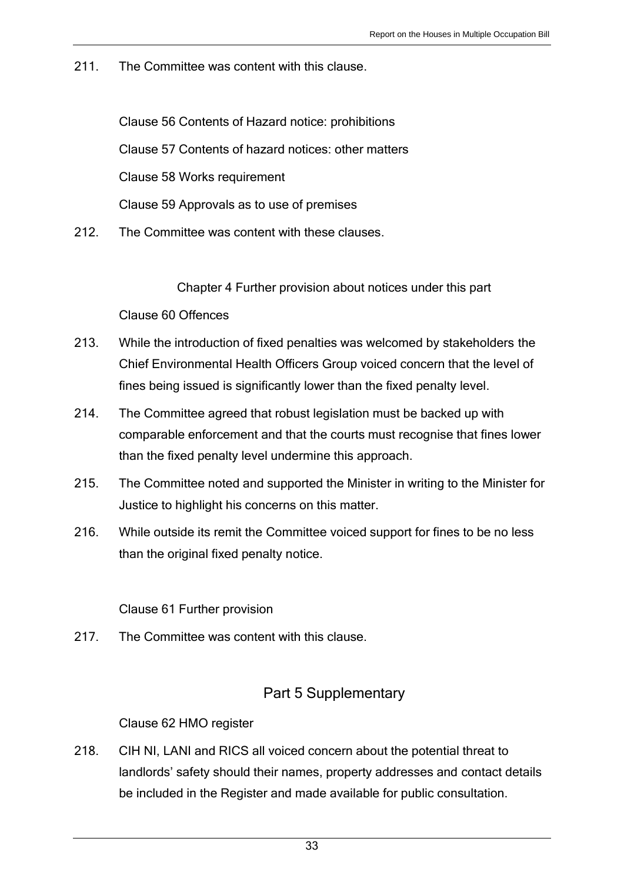211. The Committee was content with this clause.

Clause 56 Contents of Hazard notice: prohibitions Clause 57 Contents of hazard notices: other matters Clause 58 Works requirement Clause 59 Approvals as to use of premises

212. The Committee was content with these clauses.

Chapter 4 Further provision about notices under this part

Clause 60 Offences

- 213. While the introduction of fixed penalties was welcomed by stakeholders the Chief Environmental Health Officers Group voiced concern that the level of fines being issued is significantly lower than the fixed penalty level.
- 214. The Committee agreed that robust legislation must be backed up with comparable enforcement and that the courts must recognise that fines lower than the fixed penalty level undermine this approach.
- 215. The Committee noted and supported the Minister in writing to the Minister for Justice to highlight his concerns on this matter.
- 216. While outside its remit the Committee voiced support for fines to be no less than the original fixed penalty notice.

Clause 61 Further provision

217. The Committee was content with this clause.

## Part 5 Supplementary

Clause 62 HMO register

218. CIH NI, LANI and RICS all voiced concern about the potential threat to landlords' safety should their names, property addresses and contact details be included in the Register and made available for public consultation.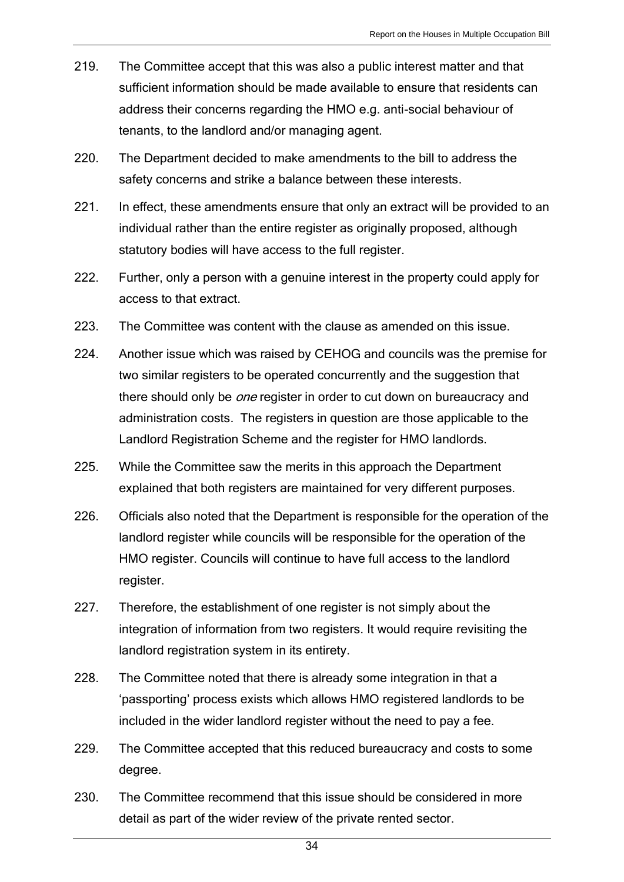- 219. The Committee accept that this was also a public interest matter and that sufficient information should be made available to ensure that residents can address their concerns regarding the HMO e.g. anti-social behaviour of tenants, to the landlord and/or managing agent.
- 220. The Department decided to make amendments to the bill to address the safety concerns and strike a balance between these interests.
- 221. In effect, these amendments ensure that only an extract will be provided to an individual rather than the entire register as originally proposed, although statutory bodies will have access to the full register.
- 222. Further, only a person with a genuine interest in the property could apply for access to that extract.
- 223. The Committee was content with the clause as amended on this issue.
- 224. Another issue which was raised by CEHOG and councils was the premise for two similar registers to be operated concurrently and the suggestion that there should only be *one* register in order to cut down on bureaucracy and administration costs. The registers in question are those applicable to the Landlord Registration Scheme and the register for HMO landlords.
- 225. While the Committee saw the merits in this approach the Department explained that both registers are maintained for very different purposes.
- 226. Officials also noted that the Department is responsible for the operation of the landlord register while councils will be responsible for the operation of the HMO register. Councils will continue to have full access to the landlord register.
- 227. Therefore, the establishment of one register is not simply about the integration of information from two registers. It would require revisiting the landlord registration system in its entirety.
- 228. The Committee noted that there is already some integration in that a 'passporting' process exists which allows HMO registered landlords to be included in the wider landlord register without the need to pay a fee.
- 229. The Committee accepted that this reduced bureaucracy and costs to some degree.
- 230. The Committee recommend that this issue should be considered in more detail as part of the wider review of the private rented sector.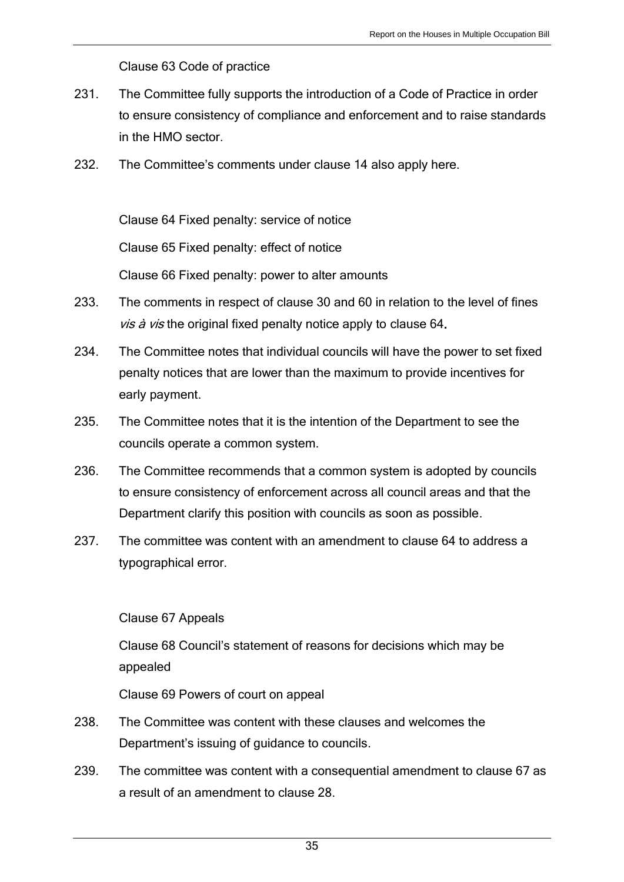Clause 63 Code of practice

- 231. The Committee fully supports the introduction of a Code of Practice in order to ensure consistency of compliance and enforcement and to raise standards in the HMO sector.
- 232. The Committee's comments under clause 14 also apply here.

Clause 64 Fixed penalty: service of notice

Clause 65 Fixed penalty: effect of notice

Clause 66 Fixed penalty: power to alter amounts

- 233. The comments in respect of clause 30 and 60 in relation to the level of fines vis à vis the original fixed penalty notice apply to clause 64.
- 234. The Committee notes that individual councils will have the power to set fixed penalty notices that are lower than the maximum to provide incentives for early payment.
- 235. The Committee notes that it is the intention of the Department to see the councils operate a common system.
- 236. The Committee recommends that a common system is adopted by councils to ensure consistency of enforcement across all council areas and that the Department clarify this position with councils as soon as possible.
- 237. The committee was content with an amendment to clause 64 to address a typographical error.

Clause 67 Appeals

Clause 68 Council's statement of reasons for decisions which may be appealed

Clause 69 Powers of court on appeal

- 238. The Committee was content with these clauses and welcomes the Department's issuing of guidance to councils.
- 239. The committee was content with a consequential amendment to clause 67 as a result of an amendment to clause 28.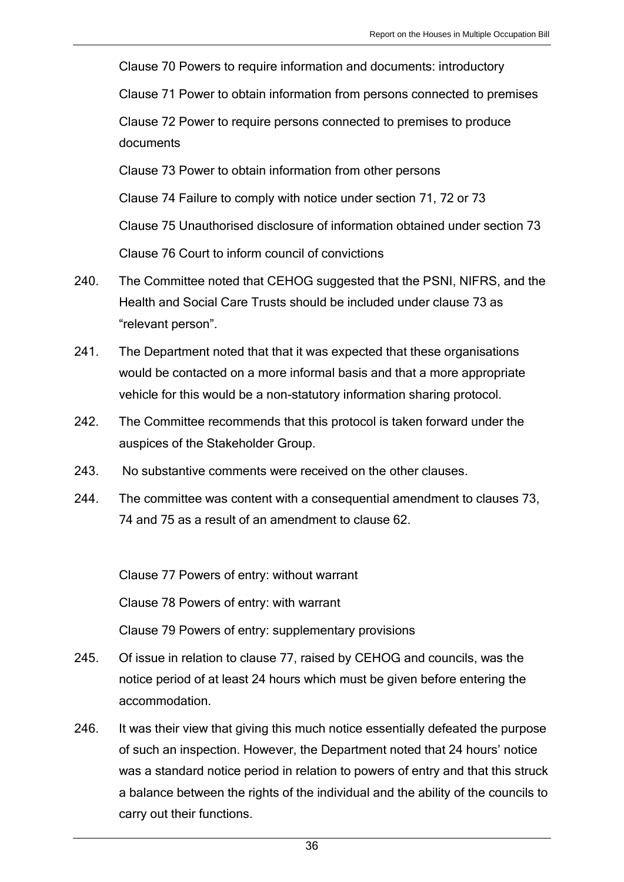Clause 70 Powers to require information and documents: introductory

Clause 71 Power to obtain information from persons connected to premises

Clause 72 Power to require persons connected to premises to produce documents

Clause 73 Power to obtain information from other persons

Clause 74 Failure to comply with notice under section 71, 72 or 73

Clause 75 Unauthorised disclosure of information obtained under section 73

Clause 76 Court to inform council of convictions

- 240. The Committee noted that CEHOG suggested that the PSNI, NIFRS, and the Health and Social Care Trusts should be included under clause 73 as "relevant person".
- 241. The Department noted that that it was expected that these organisations would be contacted on a more informal basis and that a more appropriate vehicle for this would be a non-statutory information sharing protocol.
- 242. The Committee recommends that this protocol is taken forward under the auspices of the Stakeholder Group.
- 243. No substantive comments were received on the other clauses.
- 244. The committee was content with a consequential amendment to clauses 73, 74 and 75 as a result of an amendment to clause 62.

Clause 77 Powers of entry: without warrant

Clause 78 Powers of entry: with warrant

Clause 79 Powers of entry: supplementary provisions

- 245. Of issue in relation to clause 77, raised by CEHOG and councils, was the notice period of at least 24 hours which must be given before entering the accommodation.
- 246. It was their view that giving this much notice essentially defeated the purpose of such an inspection. However, the Department noted that 24 hours' notice was a standard notice period in relation to powers of entry and that this struck a balance between the rights of the individual and the ability of the councils to carry out their functions.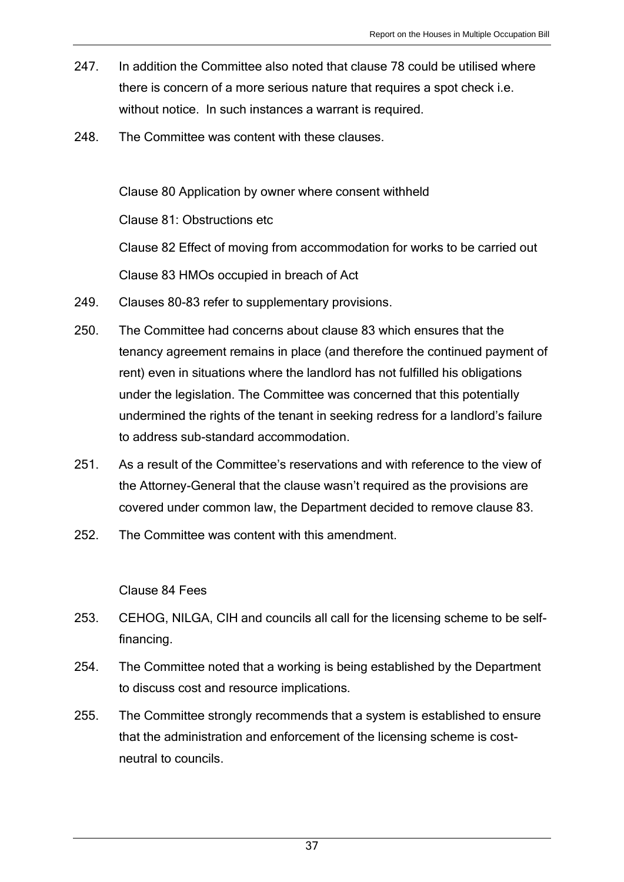- 247. In addition the Committee also noted that clause 78 could be utilised where there is concern of a more serious nature that requires a spot check i.e. without notice. In such instances a warrant is required.
- 248. The Committee was content with these clauses.

Clause 80 Application by owner where consent withheld Clause 81: Obstructions etc Clause 82 Effect of moving from accommodation for works to be carried out Clause 83 HMOs occupied in breach of Act

- 249. Clauses 80-83 refer to supplementary provisions.
- 250. The Committee had concerns about clause 83 which ensures that the tenancy agreement remains in place (and therefore the continued payment of rent) even in situations where the landlord has not fulfilled his obligations under the legislation. The Committee was concerned that this potentially undermined the rights of the tenant in seeking redress for a landlord's failure to address sub-standard accommodation.
- 251. As a result of the Committee's reservations and with reference to the view of the Attorney-General that the clause wasn't required as the provisions are covered under common law, the Department decided to remove clause 83.
- 252. The Committee was content with this amendment.

#### Clause 84 Fees

- 253. CEHOG, NILGA, CIH and councils all call for the licensing scheme to be selffinancing.
- 254. The Committee noted that a working is being established by the Department to discuss cost and resource implications.
- 255. The Committee strongly recommends that a system is established to ensure that the administration and enforcement of the licensing scheme is costneutral to councils.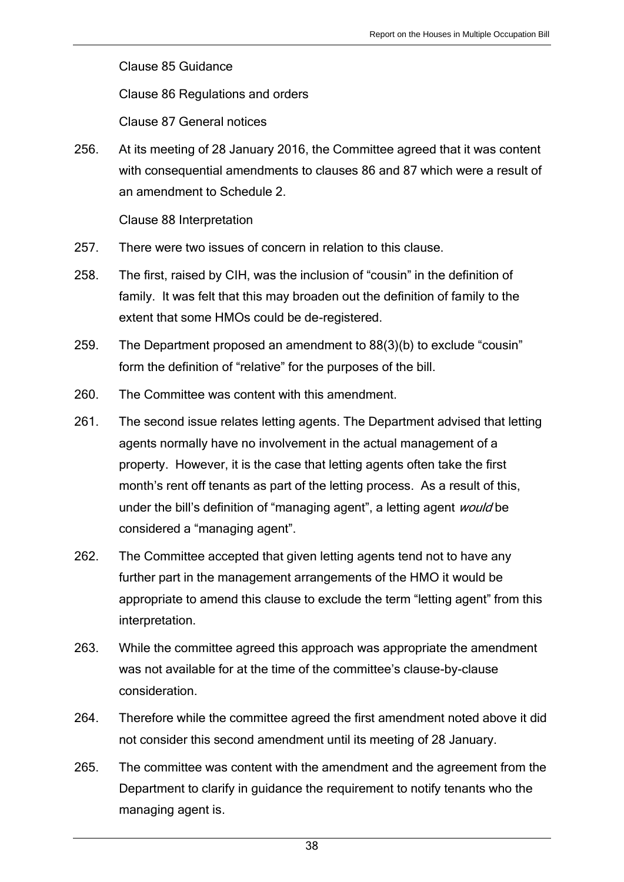Clause 85 Guidance

Clause 86 Regulations and orders

Clause 87 General notices

256. At its meeting of 28 January 2016, the Committee agreed that it was content with consequential amendments to clauses 86 and 87 which were a result of an amendment to Schedule 2.

Clause 88 Interpretation

- 257. There were two issues of concern in relation to this clause.
- 258. The first, raised by CIH, was the inclusion of "cousin" in the definition of family. It was felt that this may broaden out the definition of family to the extent that some HMOs could be de-registered.
- 259. The Department proposed an amendment to 88(3)(b) to exclude "cousin" form the definition of "relative" for the purposes of the bill.
- 260. The Committee was content with this amendment.
- 261. The second issue relates letting agents. The Department advised that letting agents normally have no involvement in the actual management of a property. However, it is the case that letting agents often take the first month's rent off tenants as part of the letting process. As a result of this, under the bill's definition of "managing agent", a letting agent *would* be considered a "managing agent".
- 262. The Committee accepted that given letting agents tend not to have any further part in the management arrangements of the HMO it would be appropriate to amend this clause to exclude the term "letting agent" from this interpretation.
- 263. While the committee agreed this approach was appropriate the amendment was not available for at the time of the committee's clause-by-clause consideration.
- 264. Therefore while the committee agreed the first amendment noted above it did not consider this second amendment until its meeting of 28 January.
- 265. The committee was content with the amendment and the agreement from the Department to clarify in guidance the requirement to notify tenants who the managing agent is.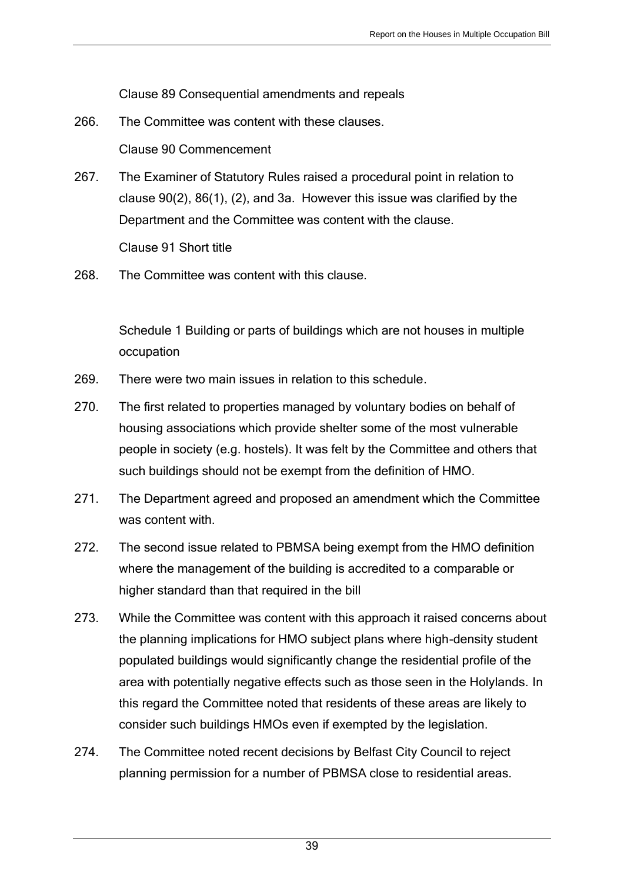Clause 89 Consequential amendments and repeals

- 266. The Committee was content with these clauses. Clause 90 Commencement
- 267. The Examiner of Statutory Rules raised a procedural point in relation to clause 90(2), 86(1), (2), and 3a. However this issue was clarified by the Department and the Committee was content with the clause. Clause 91 Short title
- 268. The Committee was content with this clause.

Schedule 1 Building or parts of buildings which are not houses in multiple occupation

- 269. There were two main issues in relation to this schedule.
- 270. The first related to properties managed by voluntary bodies on behalf of housing associations which provide shelter some of the most vulnerable people in society (e.g. hostels). It was felt by the Committee and others that such buildings should not be exempt from the definition of HMO.
- 271. The Department agreed and proposed an amendment which the Committee was content with.
- 272. The second issue related to PBMSA being exempt from the HMO definition where the management of the building is accredited to a comparable or higher standard than that required in the bill
- 273. While the Committee was content with this approach it raised concerns about the planning implications for HMO subject plans where high-density student populated buildings would significantly change the residential profile of the area with potentially negative effects such as those seen in the Holylands. In this regard the Committee noted that residents of these areas are likely to consider such buildings HMOs even if exempted by the legislation.
- 274. The Committee noted recent decisions by Belfast City Council to reject planning permission for a number of PBMSA close to residential areas.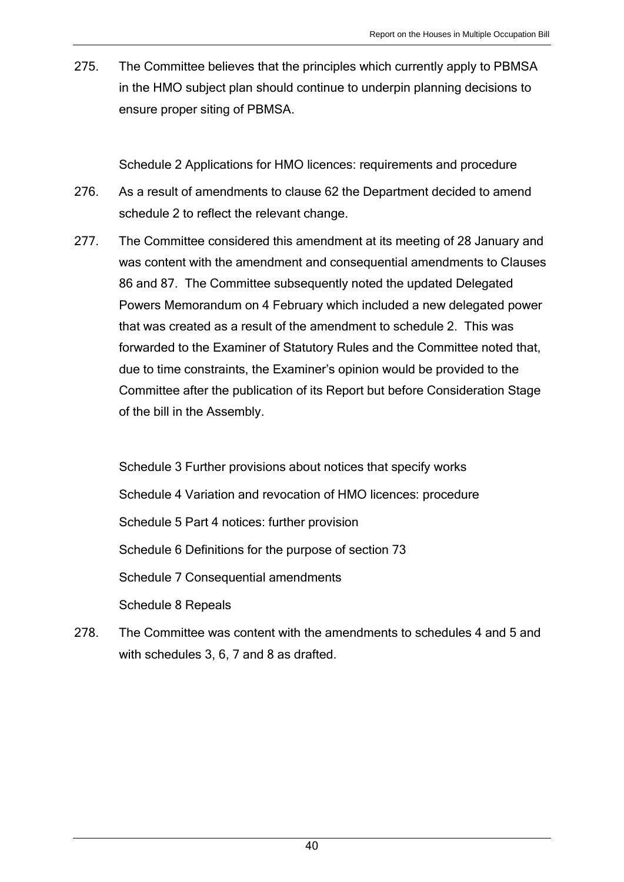275. The Committee believes that the principles which currently apply to PBMSA in the HMO subject plan should continue to underpin planning decisions to ensure proper siting of PBMSA.

Schedule 2 Applications for HMO licences: requirements and procedure

- 276. As a result of amendments to clause 62 the Department decided to amend schedule 2 to reflect the relevant change.
- 277. The Committee considered this amendment at its meeting of 28 January and was content with the amendment and consequential amendments to Clauses 86 and 87. The Committee subsequently noted the updated Delegated Powers Memorandum on 4 February which included a new delegated power that was created as a result of the amendment to schedule 2. This was forwarded to the Examiner of Statutory Rules and the Committee noted that, due to time constraints, the Examiner's opinion would be provided to the Committee after the publication of its Report but before Consideration Stage of the bill in the Assembly.

Schedule 3 Further provisions about notices that specify works Schedule 4 Variation and revocation of HMO licences: procedure Schedule 5 Part 4 notices: further provision Schedule 6 Definitions for the purpose of section 73 Schedule 7 Consequential amendments Schedule 8 Repeals

278. The Committee was content with the amendments to schedules 4 and 5 and with schedules 3, 6, 7 and 8 as drafted.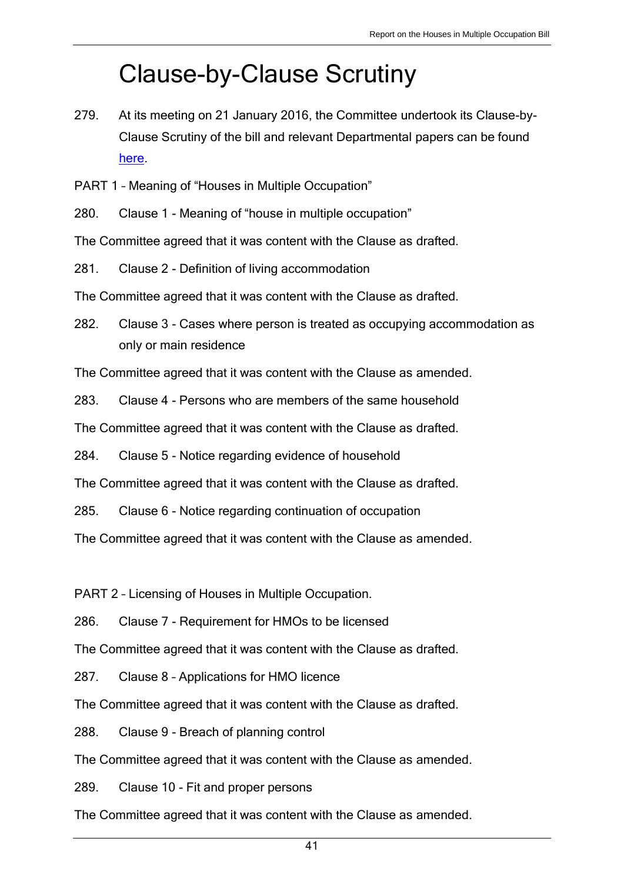# Clause-by-Clause Scrutiny

279. At its meeting on 21 January 2016, the Committee undertook its Clause-by-Clause Scrutiny of the bill and relevant Departmental papers can be found [here.](http://www.niassembly.gov.uk/assembly-business/committees/archive/social-development/legislation/houses-in-multiple-occupations-hmo-bill2/memoranda-papers/)

PART 1 – Meaning of "Houses in Multiple Occupation"

280. Clause 1 - Meaning of "house in multiple occupation"

The Committee agreed that it was content with the Clause as drafted.

281. Clause 2 - Definition of living accommodation

The Committee agreed that it was content with the Clause as drafted.

282. Clause 3 - Cases where person is treated as occupying accommodation as only or main residence

The Committee agreed that it was content with the Clause as amended.

283. Clause 4 - Persons who are members of the same household

The Committee agreed that it was content with the Clause as drafted.

284. Clause 5 - Notice regarding evidence of household

The Committee agreed that it was content with the Clause as drafted.

285. Clause 6 - Notice regarding continuation of occupation

The Committee agreed that it was content with the Clause as amended.

PART 2 – Licensing of Houses in Multiple Occupation.

286. Clause 7 - Requirement for HMOs to be licensed

The Committee agreed that it was content with the Clause as drafted.

287. Clause 8 – Applications for HMO licence

The Committee agreed that it was content with the Clause as drafted.

288. Clause 9 - Breach of planning control

The Committee agreed that it was content with the Clause as amended.

289. Clause 10 - Fit and proper persons

The Committee agreed that it was content with the Clause as amended.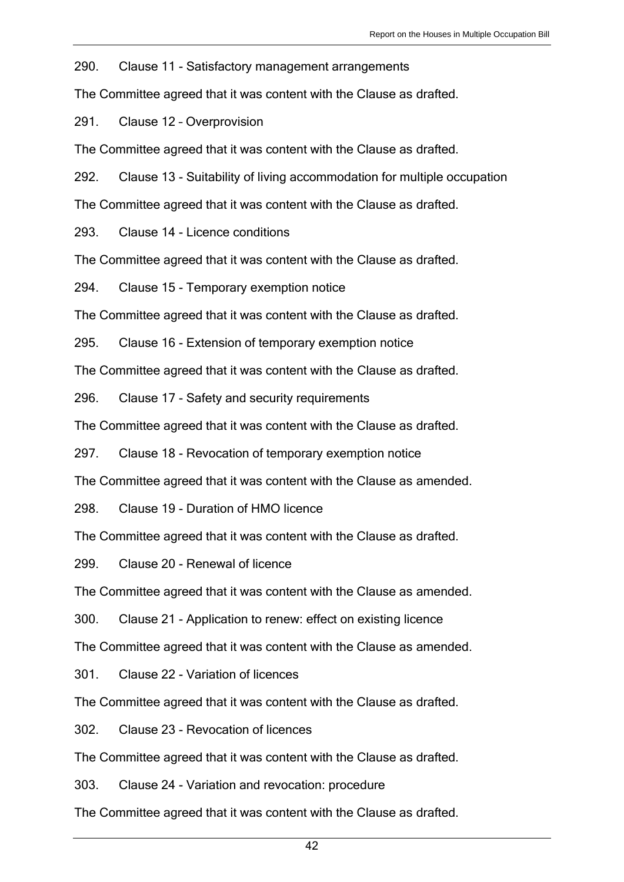290. Clause 11 - Satisfactory management arrangements

The Committee agreed that it was content with the Clause as drafted.

291. Clause 12 – Overprovision

The Committee agreed that it was content with the Clause as drafted.

292. Clause 13 - Suitability of living accommodation for multiple occupation

The Committee agreed that it was content with the Clause as drafted.

293. Clause 14 - Licence conditions

The Committee agreed that it was content with the Clause as drafted.

294. Clause 15 - Temporary exemption notice

The Committee agreed that it was content with the Clause as drafted.

295. Clause 16 - Extension of temporary exemption notice

The Committee agreed that it was content with the Clause as drafted.

296. Clause 17 - Safety and security requirements

The Committee agreed that it was content with the Clause as drafted.

297. Clause 18 - Revocation of temporary exemption notice

The Committee agreed that it was content with the Clause as amended.

298. Clause 19 - Duration of HMO licence

The Committee agreed that it was content with the Clause as drafted.

299. Clause 20 - Renewal of licence

The Committee agreed that it was content with the Clause as amended.

300. Clause 21 - Application to renew: effect on existing licence

The Committee agreed that it was content with the Clause as amended.

301. Clause 22 - Variation of licences

The Committee agreed that it was content with the Clause as drafted.

302. Clause 23 - Revocation of licences

The Committee agreed that it was content with the Clause as drafted.

303. Clause 24 - Variation and revocation: procedure

The Committee agreed that it was content with the Clause as drafted.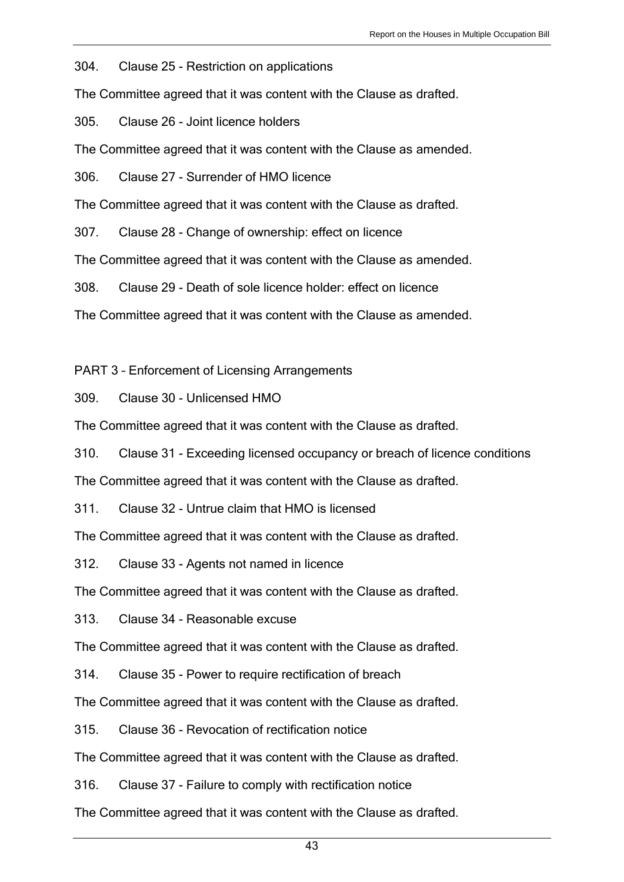304. Clause 25 - Restriction on applications

The Committee agreed that it was content with the Clause as drafted.

305. Clause 26 - Joint licence holders

The Committee agreed that it was content with the Clause as amended.

306. Clause 27 - Surrender of HMO licence

The Committee agreed that it was content with the Clause as drafted.

307. Clause 28 - Change of ownership: effect on licence

The Committee agreed that it was content with the Clause as amended.

308. Clause 29 - Death of sole licence holder: effect on licence

The Committee agreed that it was content with the Clause as amended.

PART 3 – Enforcement of Licensing Arrangements

309. Clause 30 - Unlicensed HMO

The Committee agreed that it was content with the Clause as drafted.

310. Clause 31 - Exceeding licensed occupancy or breach of licence conditions

The Committee agreed that it was content with the Clause as drafted.

311. Clause 32 - Untrue claim that HMO is licensed

The Committee agreed that it was content with the Clause as drafted.

312. Clause 33 - Agents not named in licence

The Committee agreed that it was content with the Clause as drafted.

313. Clause 34 - Reasonable excuse

The Committee agreed that it was content with the Clause as drafted.

314. Clause 35 - Power to require rectification of breach

The Committee agreed that it was content with the Clause as drafted.

315. Clause 36 - Revocation of rectification notice

The Committee agreed that it was content with the Clause as drafted.

316. Clause 37 - Failure to comply with rectification notice

The Committee agreed that it was content with the Clause as drafted.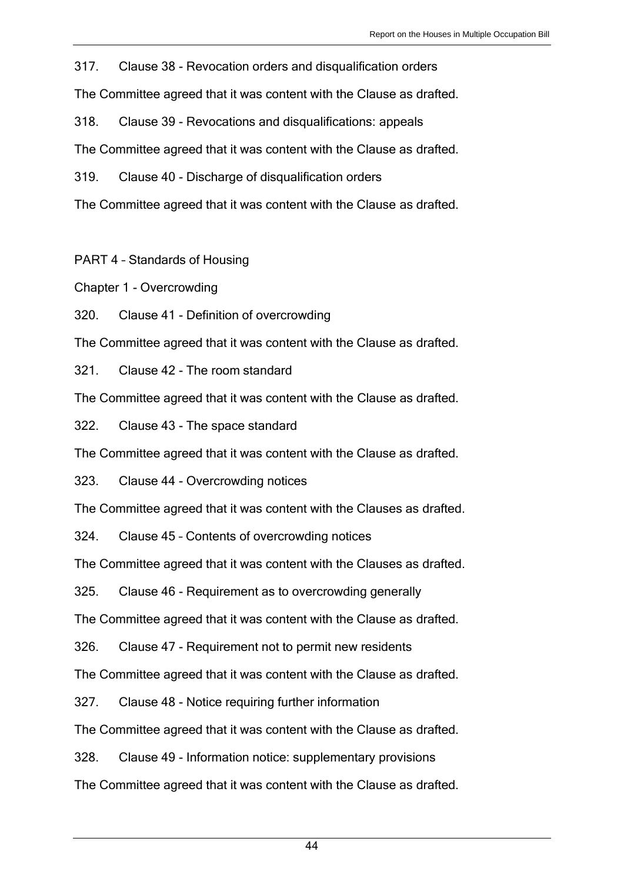317. Clause 38 - Revocation orders and disqualification orders

The Committee agreed that it was content with the Clause as drafted.

318. Clause 39 - Revocations and disqualifications: appeals

The Committee agreed that it was content with the Clause as drafted.

319. Clause 40 - Discharge of disqualification orders

The Committee agreed that it was content with the Clause as drafted.

PART 4 – Standards of Housing

Chapter 1 - Overcrowding

320. Clause 41 - Definition of overcrowding

The Committee agreed that it was content with the Clause as drafted.

321. Clause 42 - The room standard

The Committee agreed that it was content with the Clause as drafted.

322. Clause 43 - The space standard

The Committee agreed that it was content with the Clause as drafted.

323. Clause 44 - Overcrowding notices

The Committee agreed that it was content with the Clauses as drafted.

324. Clause 45 – Contents of overcrowding notices

The Committee agreed that it was content with the Clauses as drafted.

325. Clause 46 - Requirement as to overcrowding generally

The Committee agreed that it was content with the Clause as drafted.

326. Clause 47 - Requirement not to permit new residents

The Committee agreed that it was content with the Clause as drafted.

327. Clause 48 - Notice requiring further information

The Committee agreed that it was content with the Clause as drafted.

328. Clause 49 - Information notice: supplementary provisions

The Committee agreed that it was content with the Clause as drafted.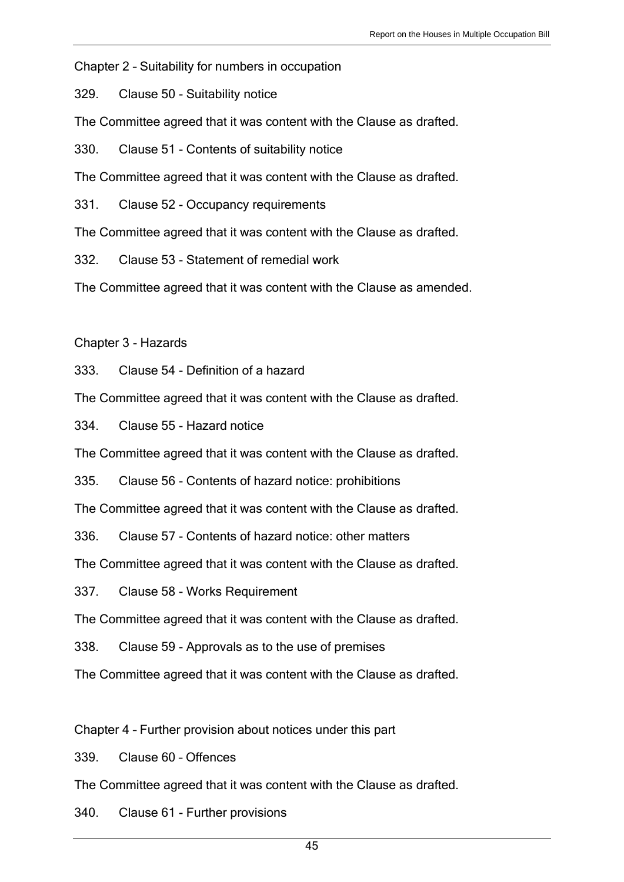Chapter 2 – Suitability for numbers in occupation

329. Clause 50 - Suitability notice

The Committee agreed that it was content with the Clause as drafted.

330. Clause 51 - Contents of suitability notice

The Committee agreed that it was content with the Clause as drafted.

331. Clause 52 - Occupancy requirements

The Committee agreed that it was content with the Clause as drafted.

332. Clause 53 - Statement of remedial work

The Committee agreed that it was content with the Clause as amended.

Chapter 3 - Hazards

333. Clause 54 - Definition of a hazard

The Committee agreed that it was content with the Clause as drafted.

334. Clause 55 - Hazard notice

The Committee agreed that it was content with the Clause as drafted.

335. Clause 56 - Contents of hazard notice: prohibitions

The Committee agreed that it was content with the Clause as drafted.

336. Clause 57 - Contents of hazard notice: other matters

The Committee agreed that it was content with the Clause as drafted.

337. Clause 58 - Works Requirement

The Committee agreed that it was content with the Clause as drafted.

338. Clause 59 - Approvals as to the use of premises

The Committee agreed that it was content with the Clause as drafted.

Chapter 4 – Further provision about notices under this part

339. Clause 60 – Offences

The Committee agreed that it was content with the Clause as drafted.

340. Clause 61 - Further provisions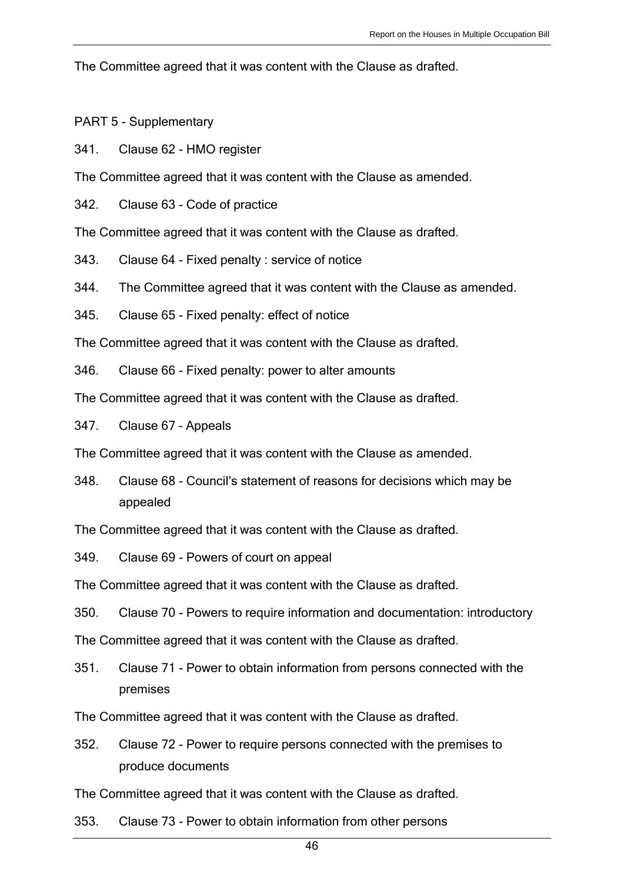The Committee agreed that it was content with the Clause as drafted.

PART 5 - Supplementary

341. Clause 62 - HMO register

The Committee agreed that it was content with the Clause as amended.

342. Clause 63 - Code of practice

The Committee agreed that it was content with the Clause as drafted.

343. Clause 64 - Fixed penalty : service of notice

344. The Committee agreed that it was content with the Clause as amended.

345. Clause 65 - Fixed penalty: effect of notice

The Committee agreed that it was content with the Clause as drafted.

346. Clause 66 - Fixed penalty: power to alter amounts

The Committee agreed that it was content with the Clause as drafted.

347. Clause 67 – Appeals

The Committee agreed that it was content with the Clause as amended.

348. Clause 68 - Council's statement of reasons for decisions which may be appealed

The Committee agreed that it was content with the Clause as drafted.

349. Clause 69 - Powers of court on appeal

The Committee agreed that it was content with the Clause as drafted.

350. Clause 70 - Powers to require information and documentation: introductory

The Committee agreed that it was content with the Clause as drafted.

351. Clause 71 - Power to obtain information from persons connected with the premises

The Committee agreed that it was content with the Clause as drafted.

352. Clause 72 - Power to require persons connected with the premises to produce documents

The Committee agreed that it was content with the Clause as drafted.

353. Clause 73 - Power to obtain information from other persons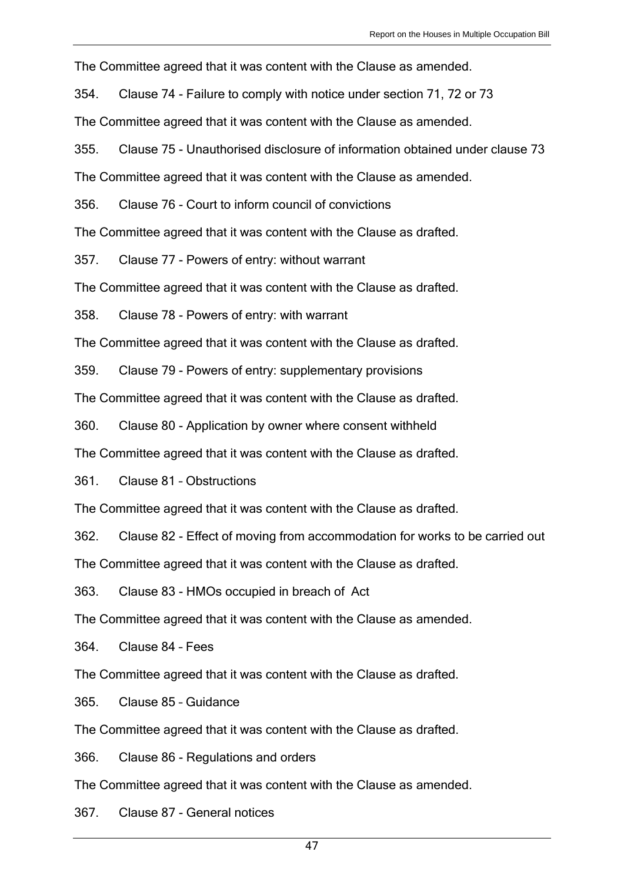The Committee agreed that it was content with the Clause as amended.

354. Clause 74 - Failure to comply with notice under section 71, 72 or 73

The Committee agreed that it was content with the Clause as amended.

355. Clause 75 - Unauthorised disclosure of information obtained under clause 73

The Committee agreed that it was content with the Clause as amended.

356. Clause 76 - Court to inform council of convictions

The Committee agreed that it was content with the Clause as drafted.

357. Clause 77 - Powers of entry: without warrant

The Committee agreed that it was content with the Clause as drafted.

358. Clause 78 - Powers of entry: with warrant

The Committee agreed that it was content with the Clause as drafted.

359. Clause 79 - Powers of entry: supplementary provisions

The Committee agreed that it was content with the Clause as drafted.

360. Clause 80 - Application by owner where consent withheld

The Committee agreed that it was content with the Clause as drafted.

361. Clause 81 – Obstructions

The Committee agreed that it was content with the Clause as drafted.

362. Clause 82 - Effect of moving from accommodation for works to be carried out

The Committee agreed that it was content with the Clause as drafted.

363. Clause 83 - HMOs occupied in breach of Act

The Committee agreed that it was content with the Clause as amended.

364. Clause 84 – Fees

The Committee agreed that it was content with the Clause as drafted.

365. Clause 85 – Guidance

The Committee agreed that it was content with the Clause as drafted.

366. Clause 86 - Regulations and orders

The Committee agreed that it was content with the Clause as amended.

367. Clause 87 - General notices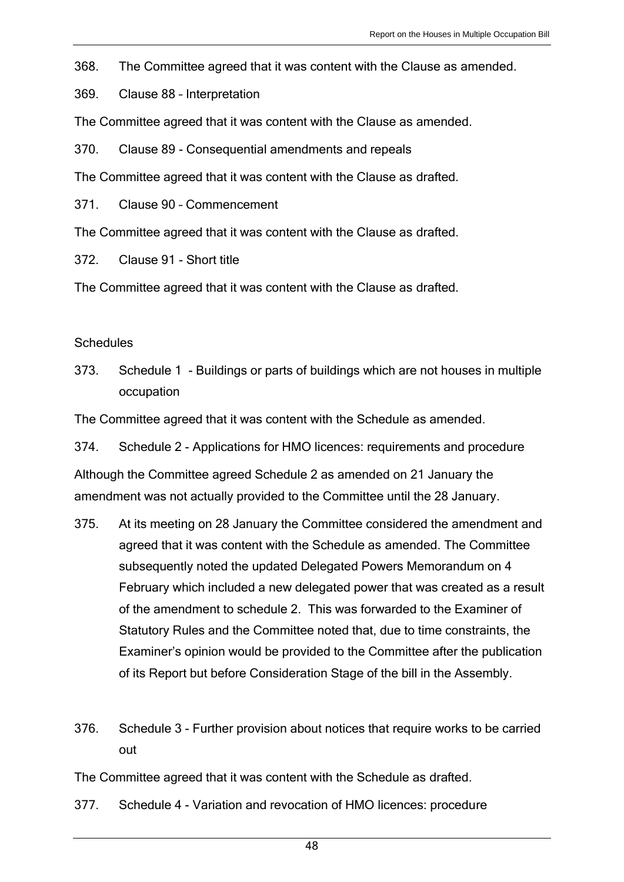368. The Committee agreed that it was content with the Clause as amended.

369. Clause 88 – Interpretation

The Committee agreed that it was content with the Clause as amended.

370. Clause 89 - Consequential amendments and repeals

The Committee agreed that it was content with the Clause as drafted.

371. Clause 90 – Commencement

The Committee agreed that it was content with the Clause as drafted.

372. Clause 91 - Short title

The Committee agreed that it was content with the Clause as drafted.

#### **Schedules**

373. Schedule 1 - Buildings or parts of buildings which are not houses in multiple occupation

The Committee agreed that it was content with the Schedule as amended.

374. Schedule 2 - Applications for HMO licences: requirements and procedure

Although the Committee agreed Schedule 2 as amended on 21 January the amendment was not actually provided to the Committee until the 28 January.

- 375. At its meeting on 28 January the Committee considered the amendment and agreed that it was content with the Schedule as amended. The Committee subsequently noted the updated Delegated Powers Memorandum on 4 February which included a new delegated power that was created as a result of the amendment to schedule 2. This was forwarded to the Examiner of Statutory Rules and the Committee noted that, due to time constraints, the Examiner's opinion would be provided to the Committee after the publication of its Report but before Consideration Stage of the bill in the Assembly.
- 376. Schedule 3 Further provision about notices that require works to be carried out

The Committee agreed that it was content with the Schedule as drafted.

377. Schedule 4 - Variation and revocation of HMO licences: procedure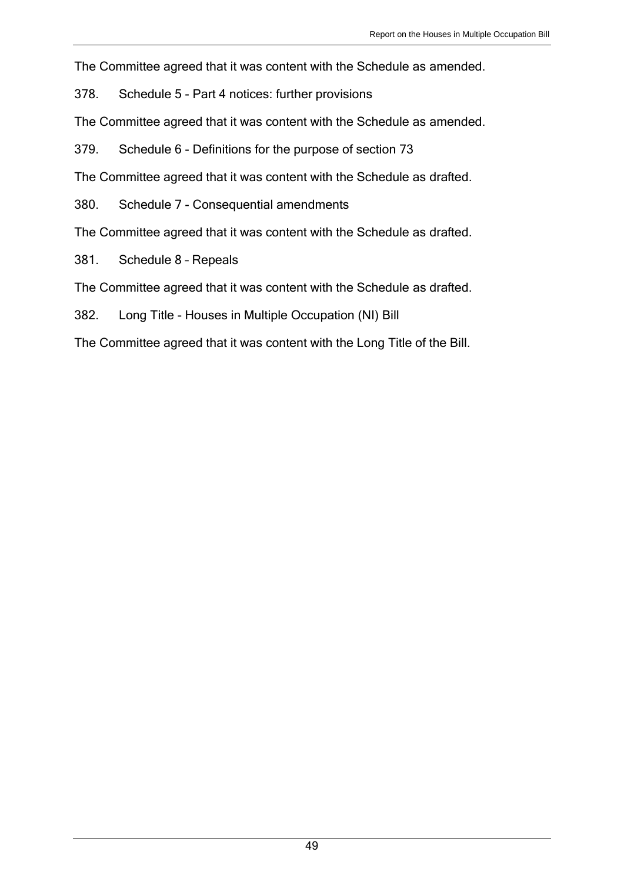The Committee agreed that it was content with the Schedule as amended.

378. Schedule 5 - Part 4 notices: further provisions

The Committee agreed that it was content with the Schedule as amended.

379. Schedule 6 - Definitions for the purpose of section 73

The Committee agreed that it was content with the Schedule as drafted.

380. Schedule 7 - Consequential amendments

The Committee agreed that it was content with the Schedule as drafted.

381. Schedule 8 – Repeals

The Committee agreed that it was content with the Schedule as drafted.

382. Long Title - Houses in Multiple Occupation (NI) Bill

The Committee agreed that it was content with the Long Title of the Bill.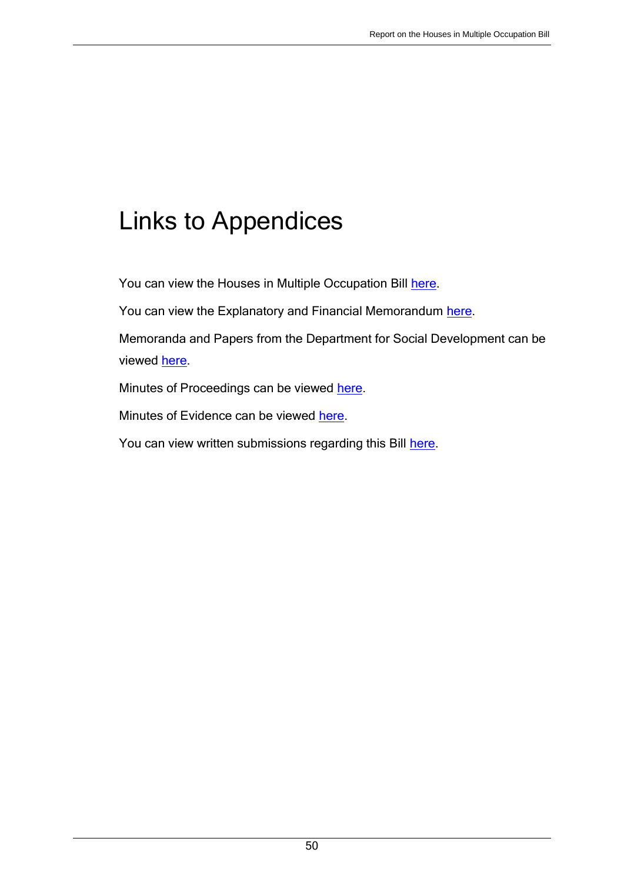# Links to Appendices

You can view the Houses in Multiple Occupation Bill [here.](http://www.niassembly.gov.uk/assembly-business/legislation/2011-2016-mandate/primary-legislation-current-bills/houses-in-multiple-occupation-bill/)

You can view the Explanatory and Financial Memorandum [here.](http://www.niassembly.gov.uk/assembly-business/legislation/2011-2016-mandate/primary-legislation-current-bills/houses-in-multiple-occupation-bill/)

Memoranda and Papers from the Department for Social Development can be viewed [here.](http://www.niassembly.gov.uk/assembly-business/committees/archive/social-development/legislation/houses-in-multiple-occupations-hmo-bill2/memoranda-papers/)

Minutes of Proceedings can be viewed [here.](http://www.niassembly.gov.uk/assembly-business/committees/archive/social-development/legislation/housing-amendment-bill/minutes-of-proceedings/)

Minutes of Evidence can be viewed [here.](http://www.niassembly.gov.uk/assembly-business/committees/archive/social-development/legislation/houses-in-multiple-occupations-hmo-bill2/minutes-of-evidence/)

You can view written submissions regarding this Bill [here.](http://www.niassembly.gov.uk/assembly-business/committees/archive/social-development/legislation/houses-in-multiple-occupations-hmo-bill/written-submissions/)